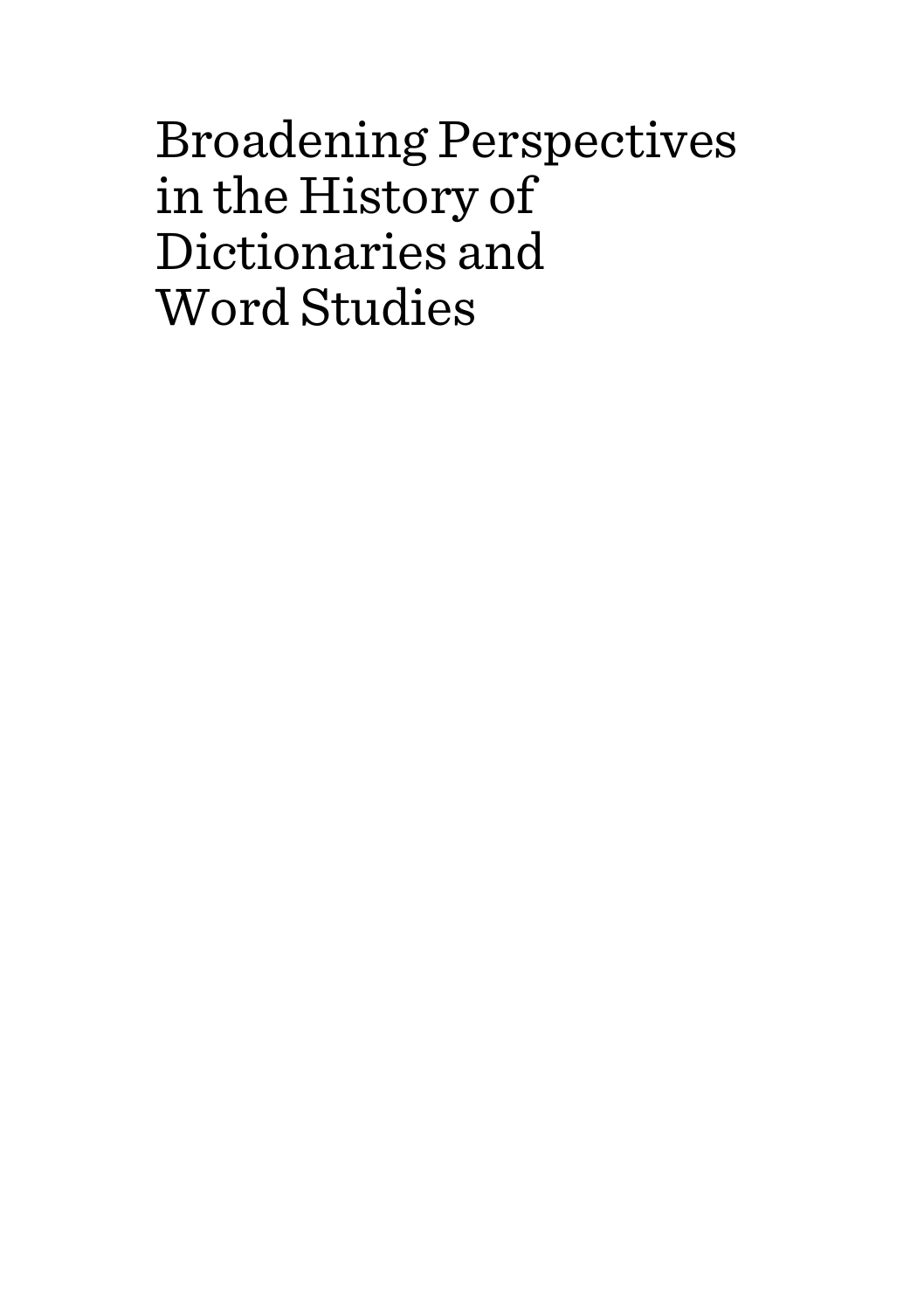Broadening Perspectives in the History of Dictionaries and Word Studies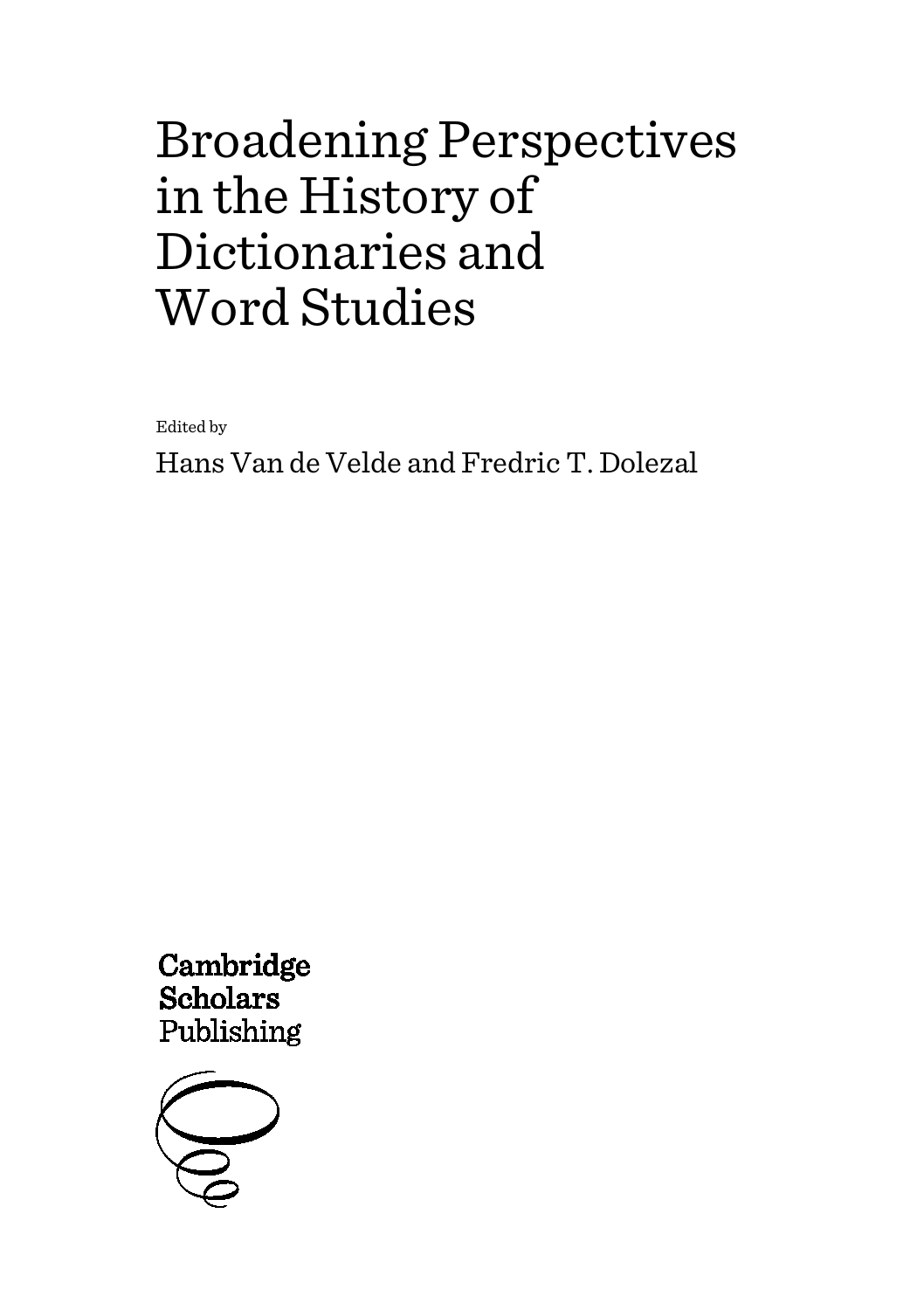# Broadening Perspectives in the History of Dictionaries and Word Studies

Edited by

Hans Van de Velde and Fredric T. Dolezal

Cambridge **Scholars** Publishing

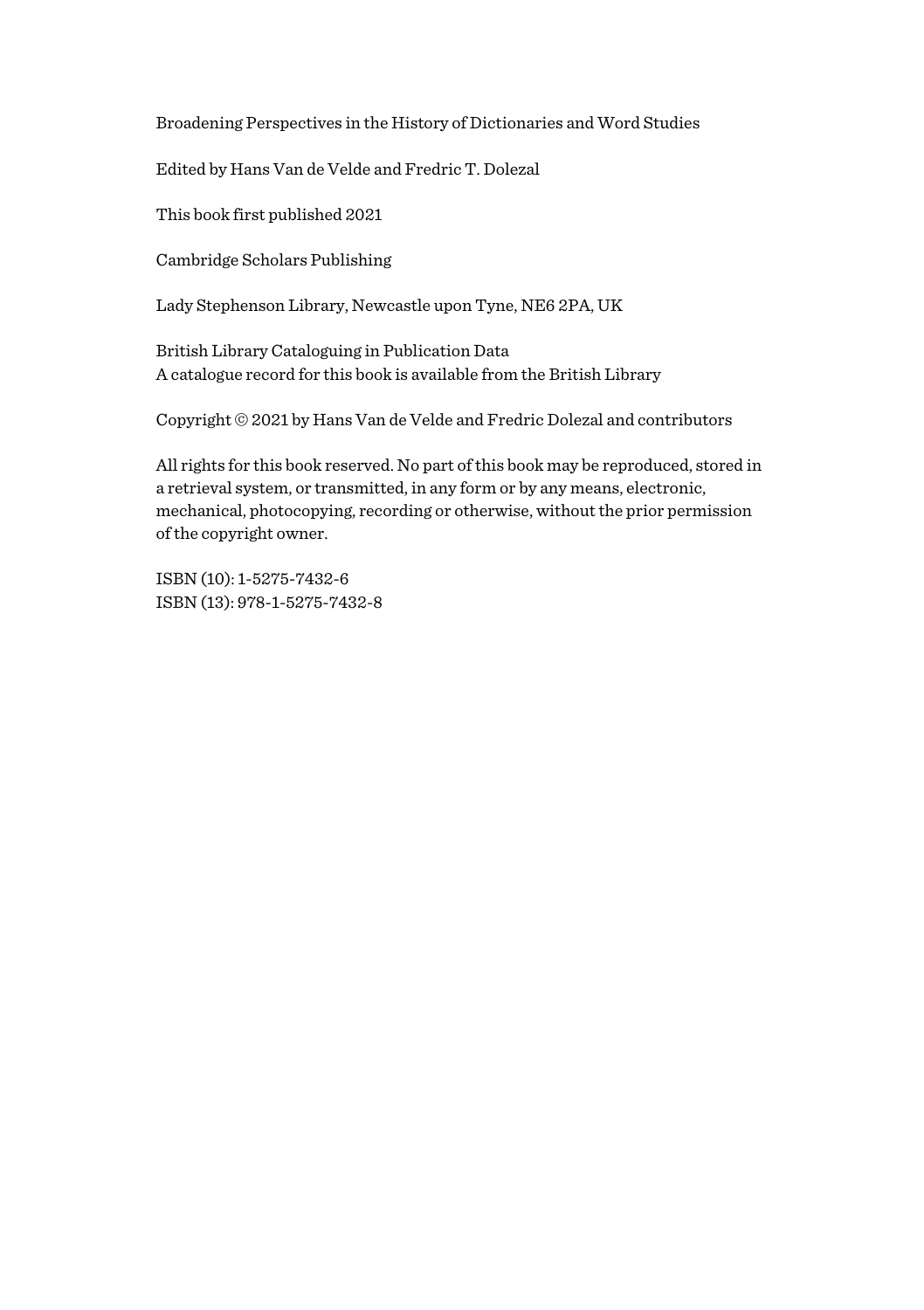Broadening Perspectives in the History of Dictionaries and Word Studies

Edited by Hans Van de Velde and Fredric T. Dolezal

This book first published 2021

Cambridge Scholars Publishing

Lady Stephenson Library, Newcastle upon Tyne, NE6 2PA, UK

British Library Cataloguing in Publication Data A catalogue record for this book is available from the British Library

Copyright © 2021 by Hans Van de Velde and Fredric Dolezal and contributors

All rights for this book reserved. No part of this book may be reproduced, stored in a retrieval system, or transmitted, in any form or by any means, electronic, mechanical, photocopying, recording or otherwise, without the prior permission of the copyright owner.

ISBN (10): 1-5275-7432-6 ISBN (13): 978-1-5275-7432-8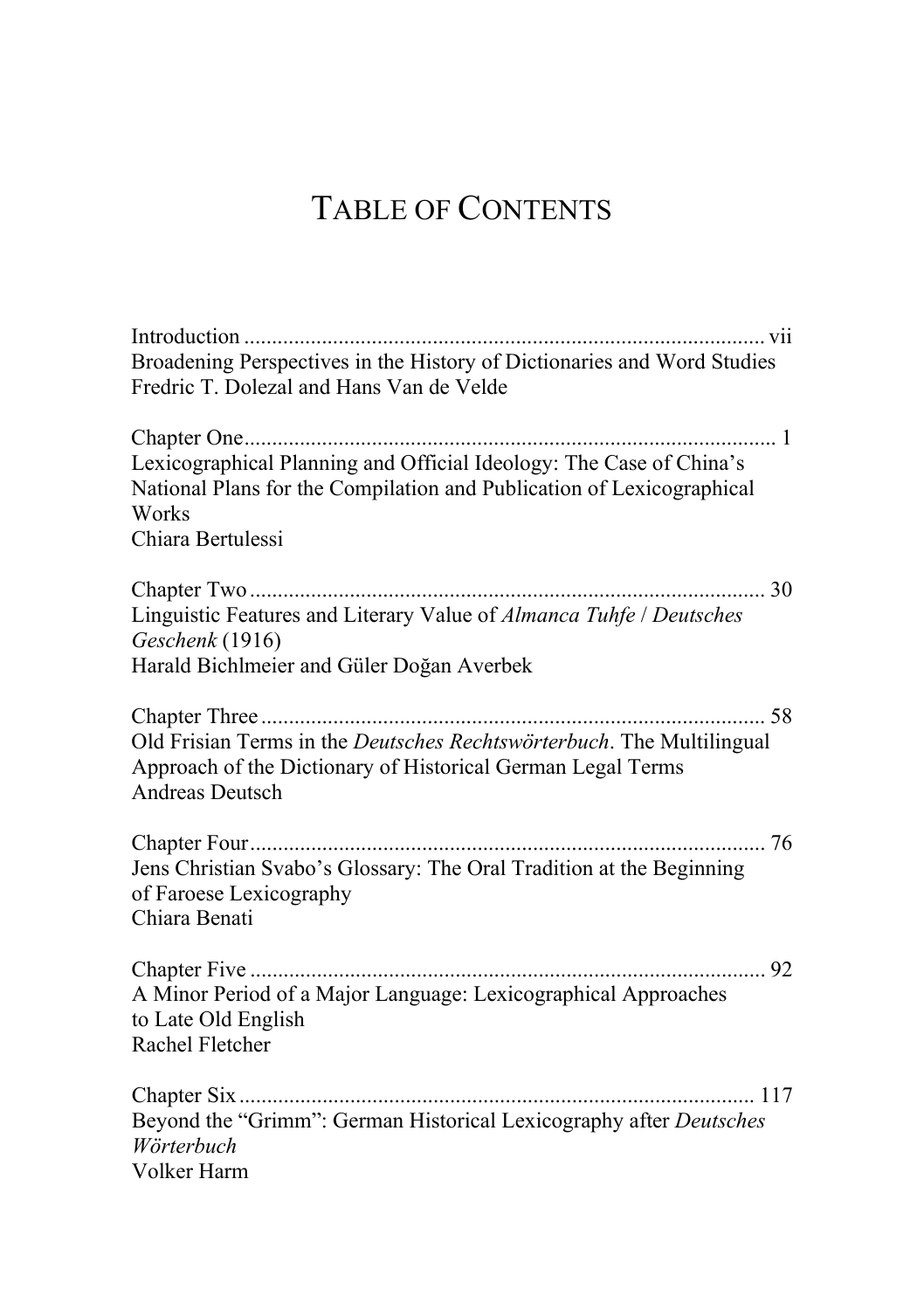## TABLE OF CONTENTS

| Broadening Perspectives in the History of Dictionaries and Word Studies                                                                                                    |
|----------------------------------------------------------------------------------------------------------------------------------------------------------------------------|
| Fredric T. Dolezal and Hans Van de Velde                                                                                                                                   |
| Lexicographical Planning and Official Ideology: The Case of China's<br>National Plans for the Compilation and Publication of Lexicographical<br>Works<br>Chiara Bertulessi |
|                                                                                                                                                                            |
|                                                                                                                                                                            |
| Linguistic Features and Literary Value of Almanca Tuhfe / Deutsches<br>Geschenk (1916)                                                                                     |
| Harald Bichlmeier and Güler Doğan Averbek                                                                                                                                  |
|                                                                                                                                                                            |
| Old Frisian Terms in the Deutsches Rechtswörterbuch. The Multilingual<br>Approach of the Dictionary of Historical German Legal Terms                                       |
| <b>Andreas Deutsch</b>                                                                                                                                                     |
|                                                                                                                                                                            |
| Jens Christian Svabo's Glossary: The Oral Tradition at the Beginning<br>of Faroese Lexicography<br>Chiara Benati                                                           |
|                                                                                                                                                                            |
| A Minor Period of a Major Language: Lexicographical Approaches                                                                                                             |
| to Late Old English                                                                                                                                                        |
| Rachel Fletcher                                                                                                                                                            |
|                                                                                                                                                                            |
| Beyond the "Grimm": German Historical Lexicography after Deutsches                                                                                                         |
| Wörterbuch<br>Volker Harm                                                                                                                                                  |
|                                                                                                                                                                            |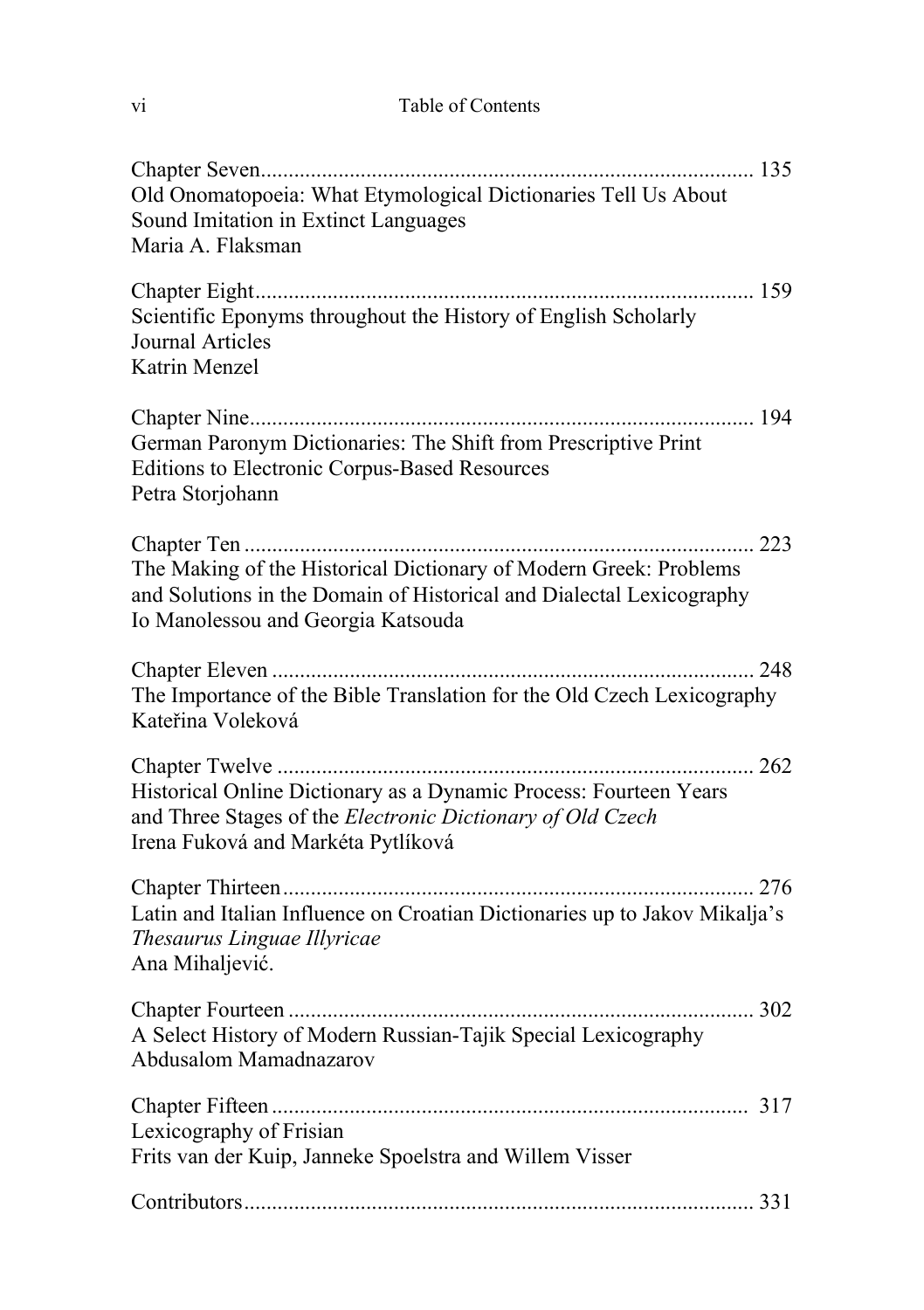| V1 | Table of Contents |
|----|-------------------|
|    |                   |

| Old Onomatopoeia: What Etymological Dictionaries Tell Us About<br>Sound Imitation in Extinct Languages<br>Maria A. Flaksman                                                     |
|---------------------------------------------------------------------------------------------------------------------------------------------------------------------------------|
| Scientific Eponyms throughout the History of English Scholarly<br>Journal Articles<br>Katrin Menzel                                                                             |
| German Paronym Dictionaries: The Shift from Prescriptive Print<br><b>Editions to Electronic Corpus-Based Resources</b><br>Petra Storjohann                                      |
| The Making of the Historical Dictionary of Modern Greek: Problems<br>and Solutions in the Domain of Historical and Dialectal Lexicography<br>Io Manolessou and Georgia Katsouda |
| The Importance of the Bible Translation for the Old Czech Lexicography<br>Kateřina Voleková                                                                                     |
| Historical Online Dictionary as a Dynamic Process: Fourteen Years<br>and Three Stages of the Electronic Dictionary of Old Czech<br>Irena Fuková and Markéta Pytlíková           |
| Latin and Italian Influence on Croatian Dictionaries up to Jakov Mikalja's<br>Thesaurus Linguae Illyricae<br>Ana Mihaljević.                                                    |
| A Select History of Modern Russian-Tajik Special Lexicography<br>Abdusalom Mamadnazarov                                                                                         |
| Lexicography of Frisian<br>Frits van der Kuip, Janneke Spoelstra and Willem Visser                                                                                              |
|                                                                                                                                                                                 |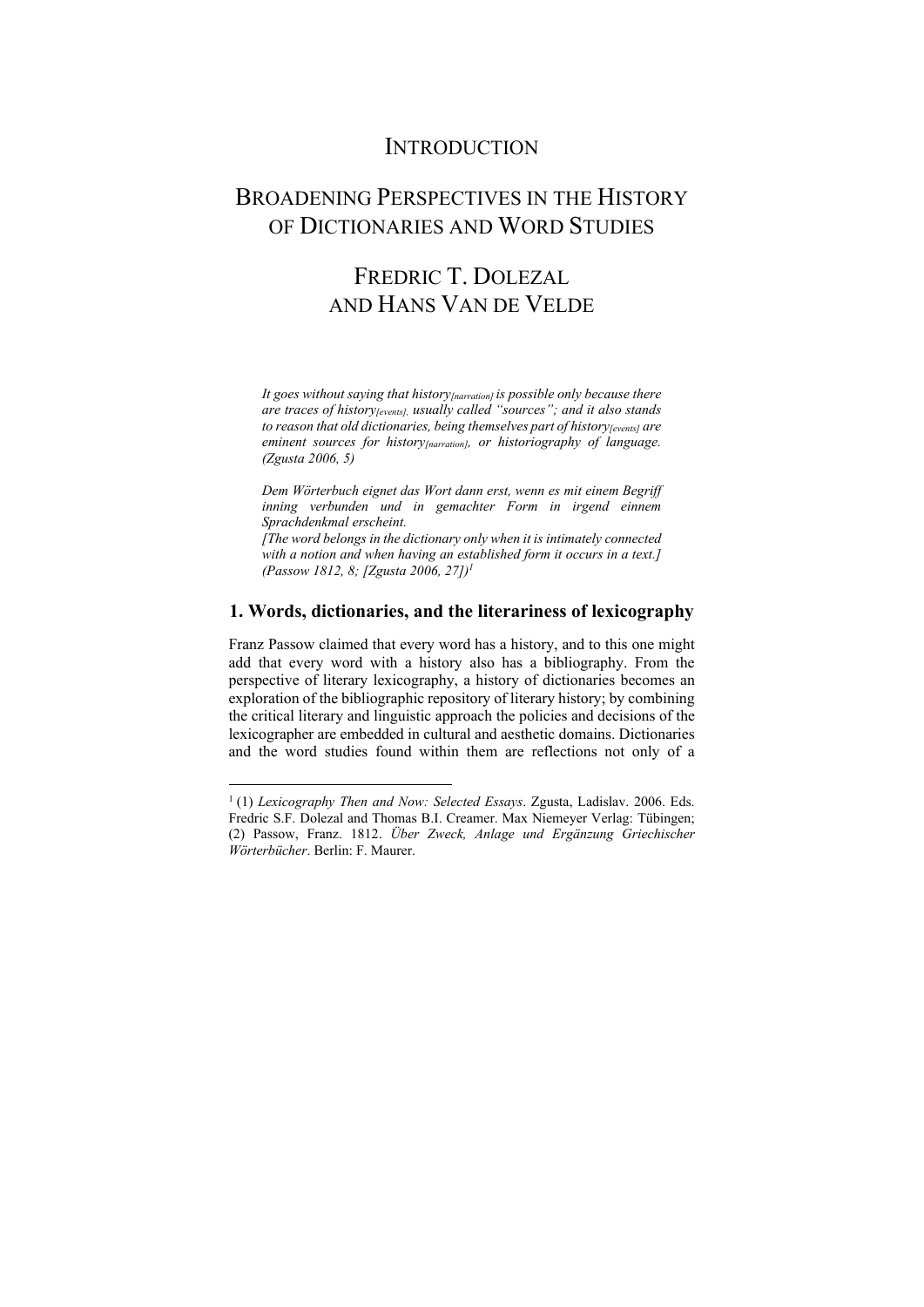### **INTRODUCTION**

## BROADENING PERSPECTIVES IN THE HISTORY OF DICTIONARIES AND WORD STUDIES

## FREDRIC T. DOLEZAL AND HANS VAN DE VELDE

*It goes without saying that history[narration] is possible only because there are traces of history* [events], usually called "sources"; and it also stands to reason that old dictionaries, being themselves part of history<sub>[events]</sub> are eminent sources for history<sub>[narration]</sub>, or historiography of language. *(Zgusta 2006, 5)* 

*Dem Wörterbuch eignet das Wort dann erst, wenn es mit einem Begriff inning verbunden und in gemachter Form in irgend einnem Sprachdenkmal erscheint.* 

*[The word belongs in the dictionary only when it is intimately connected with a notion and when having an established form it occurs in a text.] (Passow 1812, 8; [Zgusta 2006, 27])1*

### **1. Words, dictionaries, and the literariness of lexicography**

Franz Passow claimed that every word has a history, and to this one might add that every word with a history also has a bibliography. From the perspective of literary lexicography, a history of dictionaries becomes an exploration of the bibliographic repository of literary history; by combining the critical literary and linguistic approach the policies and decisions of the lexicographer are embedded in cultural and aesthetic domains. Dictionaries and the word studies found within them are reflections not only of a

<sup>1 (1)</sup> *Lexicography Then and Now: Selected Essays*. Zgusta, Ladislav. 2006. Eds. Fredric S.F. Dolezal and Thomas B.I. Creamer. Max Niemeyer Verlag: Tübingen; (2) Passow, Franz. 1812. *Über Zweck, Anlage und Ergänzung Griechischer Wörterbücher*. Berlin: F. Maurer.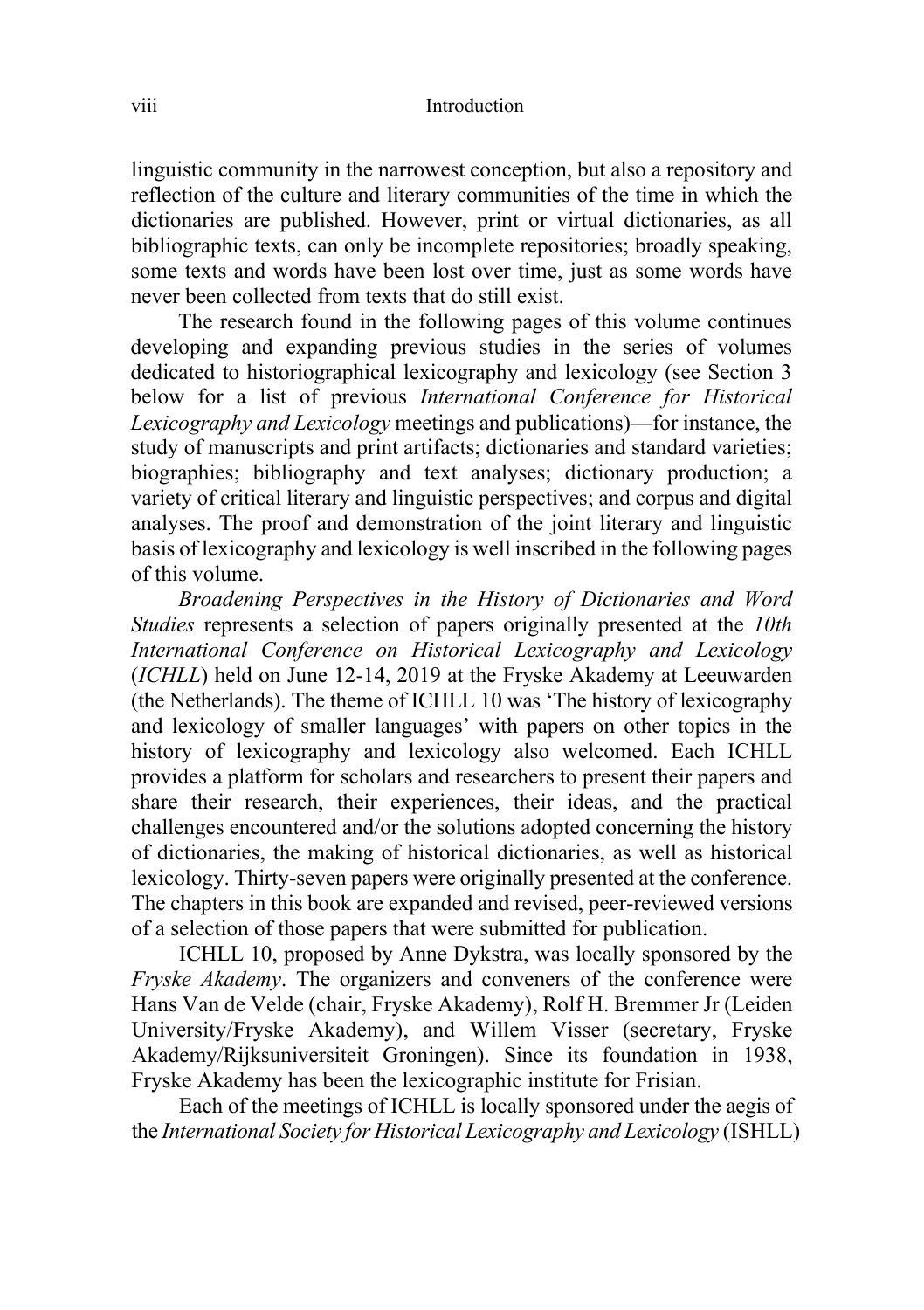linguistic community in the narrowest conception, but also a repository and reflection of the culture and literary communities of the time in which the dictionaries are published. However, print or virtual dictionaries, as all bibliographic texts, can only be incomplete repositories; broadly speaking, some texts and words have been lost over time, just as some words have never been collected from texts that do still exist.

The research found in the following pages of this volume continues developing and expanding previous studies in the series of volumes dedicated to historiographical lexicography and lexicology (see Section 3 below for a list of previous *International Conference for Historical Lexicography and Lexicology* meetings and publications)—for instance, the study of manuscripts and print artifacts; dictionaries and standard varieties; biographies; bibliography and text analyses; dictionary production; a variety of critical literary and linguistic perspectives; and corpus and digital analyses. The proof and demonstration of the joint literary and linguistic basis of lexicography and lexicology is well inscribed in the following pages of this volume.

*Broadening Perspectives in the History of Dictionaries and Word Studies* represents a selection of papers originally presented at the *10th International Conference on Historical Lexicography and Lexicology* (*ICHLL*) held on June 12-14, 2019 at the Fryske Akademy at Leeuwarden (the Netherlands). The theme of ICHLL 10 was 'The history of lexicography and lexicology of smaller languages' with papers on other topics in the history of lexicography and lexicology also welcomed. Each ICHLL provides a platform for scholars and researchers to present their papers and share their research, their experiences, their ideas, and the practical challenges encountered and/or the solutions adopted concerning the history of dictionaries, the making of historical dictionaries, as well as historical lexicology. Thirty-seven papers were originally presented at the conference. The chapters in this book are expanded and revised, peer-reviewed versions of a selection of those papers that were submitted for publication.

ICHLL 10, proposed by Anne Dykstra, was locally sponsored by the *Fryske Akademy*. The organizers and conveners of the conference were Hans Van de Velde (chair, Fryske Akademy), Rolf H. Bremmer Jr (Leiden University/Fryske Akademy), and Willem Visser (secretary, Fryske Akademy/Rijksuniversiteit Groningen). Since its foundation in 1938, Fryske Akademy has been the lexicographic institute for Frisian.

Each of the meetings of ICHLL is locally sponsored under the aegis of the *International Society for Historical Lexicography and Lexicology* (ISHLL)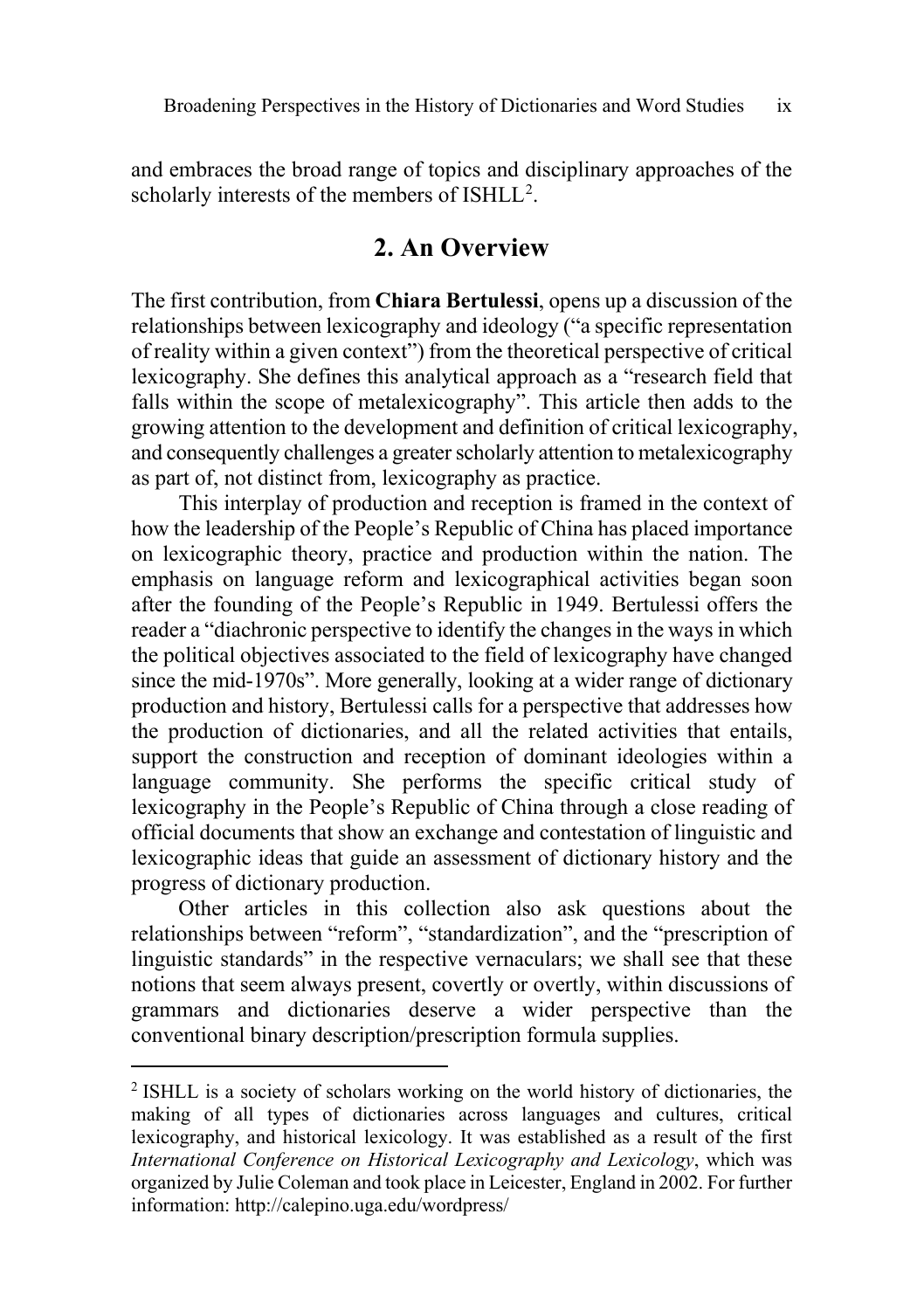and embraces the broad range of topics and disciplinary approaches of the scholarly interests of the members of  $ISHLL^2$  $ISHLL^2$ .

#### **2. An Overview**

The first contribution, from **Chiara Bertulessi**, opens up a discussion of the relationships between lexicography and ideology ("a specific representation of reality within a given context") from the theoretical perspective of critical lexicography. She defines this analytical approach as a "research field that falls within the scope of metalexicography". This article then adds to the growing attention to the development and definition of critical lexicography, and consequently challenges a greaterscholarly attention to metalexicography as part of, not distinct from, lexicography as practice.

This interplay of production and reception is framed in the context of how the leadership of the People's Republic of China has placed importance on lexicographic theory, practice and production within the nation. The emphasis on language reform and lexicographical activities began soon after the founding of the People's Republic in 1949. Bertulessi offers the reader a "diachronic perspective to identify the changes in the ways in which the political objectives associated to the field of lexicography have changed since the mid-1970s". More generally, looking at a wider range of dictionary production and history, Bertulessi calls for a perspective that addresses how the production of dictionaries, and all the related activities that entails, support the construction and reception of dominant ideologies within a language community. She performs the specific critical study of lexicography in the People's Republic of China through a close reading of official documents that show an exchange and contestation of linguistic and lexicographic ideas that guide an assessment of dictionary history and the progress of dictionary production.

Other articles in this collection also ask questions about the relationships between "reform", "standardization", and the "prescription of linguistic standards" in the respective vernaculars; we shall see that these notions that seem always present, covertly or overtly, within discussions of grammars and dictionaries deserve a wider perspective than the conventional binary description/prescription formula supplies.

<span id="page-8-0"></span><sup>2</sup> ISHLL is a society of scholars working on the world history of dictionaries, the making of all types of dictionaries across languages and cultures, critical lexicography, and historical lexicology. It was established as a result of the first *International Conference on Historical Lexicography and Lexicology*, which was organized by Julie Coleman and took place in Leicester, England in 2002. For further information: <http://calepino.uga.edu/wordpress/>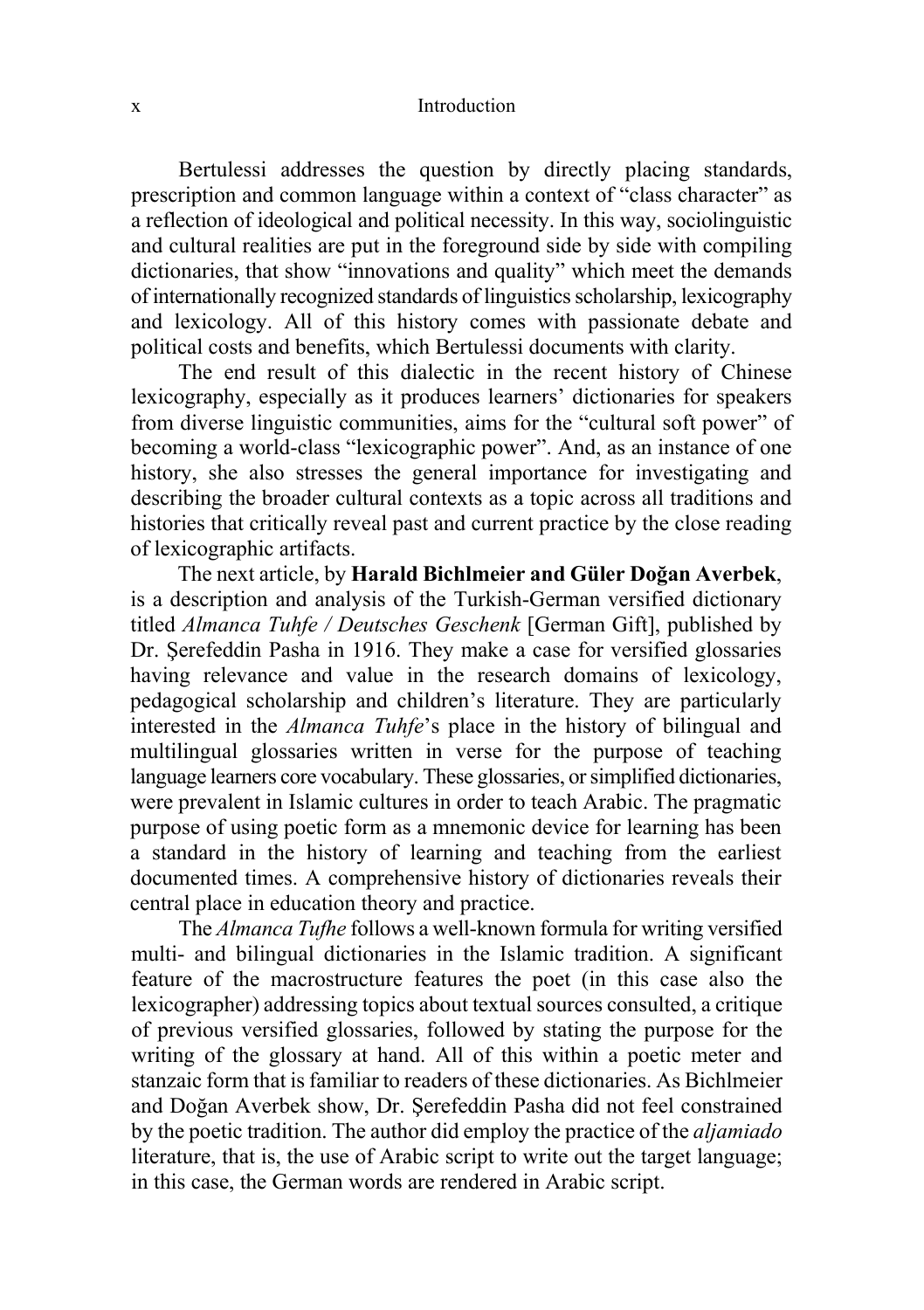#### x Introduction

Bertulessi addresses the question by directly placing standards, prescription and common language within a context of "class character" as a reflection of ideological and political necessity. In this way, sociolinguistic and cultural realities are put in the foreground side by side with compiling dictionaries, that show "innovations and quality" which meet the demands of internationally recognized standards of linguisticsscholarship, lexicography and lexicology. All of this history comes with passionate debate and political costs and benefits, which Bertulessi documents with clarity.

The end result of this dialectic in the recent history of Chinese lexicography, especially as it produces learners' dictionaries for speakers from diverse linguistic communities, aims for the "cultural soft power" of becoming a world-class "lexicographic power". And, as an instance of one history, she also stresses the general importance for investigating and describing the broader cultural contexts as a topic across all traditions and histories that critically reveal past and current practice by the close reading of lexicographic artifacts.

The next article, by **Harald Bichlmeier and Güler Doğan Averbek**, is a description and analysis of the Turkish-German versified dictionary titled *Almanca Tuhfe / Deutsches Geschenk* [German Gift], published by Dr. Şerefeddin Pasha in 1916. They make a case for versified glossaries having relevance and value in the research domains of lexicology, pedagogical scholarship and children's literature. They are particularly interested in the *Almanca Tuhfe*'s place in the history of bilingual and multilingual glossaries written in verse for the purpose of teaching language learners core vocabulary. These glossaries, or simplified dictionaries, were prevalent in Islamic cultures in order to teach Arabic. The pragmatic purpose of using poetic form as a mnemonic device for learning has been a standard in the history of learning and teaching from the earliest documented times. A comprehensive history of dictionaries reveals their central place in education theory and practice.

The *Almanca Tufhe* follows a well-known formula for writing versified multi- and bilingual dictionaries in the Islamic tradition. A significant feature of the macrostructure features the poet (in this case also the lexicographer) addressing topics about textual sources consulted, a critique of previous versified glossaries, followed by stating the purpose for the writing of the glossary at hand. All of this within a poetic meter and stanzaic form that isfamiliar to readers of these dictionaries. As Bichlmeier and Doğan Averbek show, Dr. Şerefeddin Pasha did not feel constrained by the poetic tradition. The author did employ the practice of the *aljamiado* literature, that is, the use of Arabic script to write out the target language; in this case, the German words are rendered in Arabic script.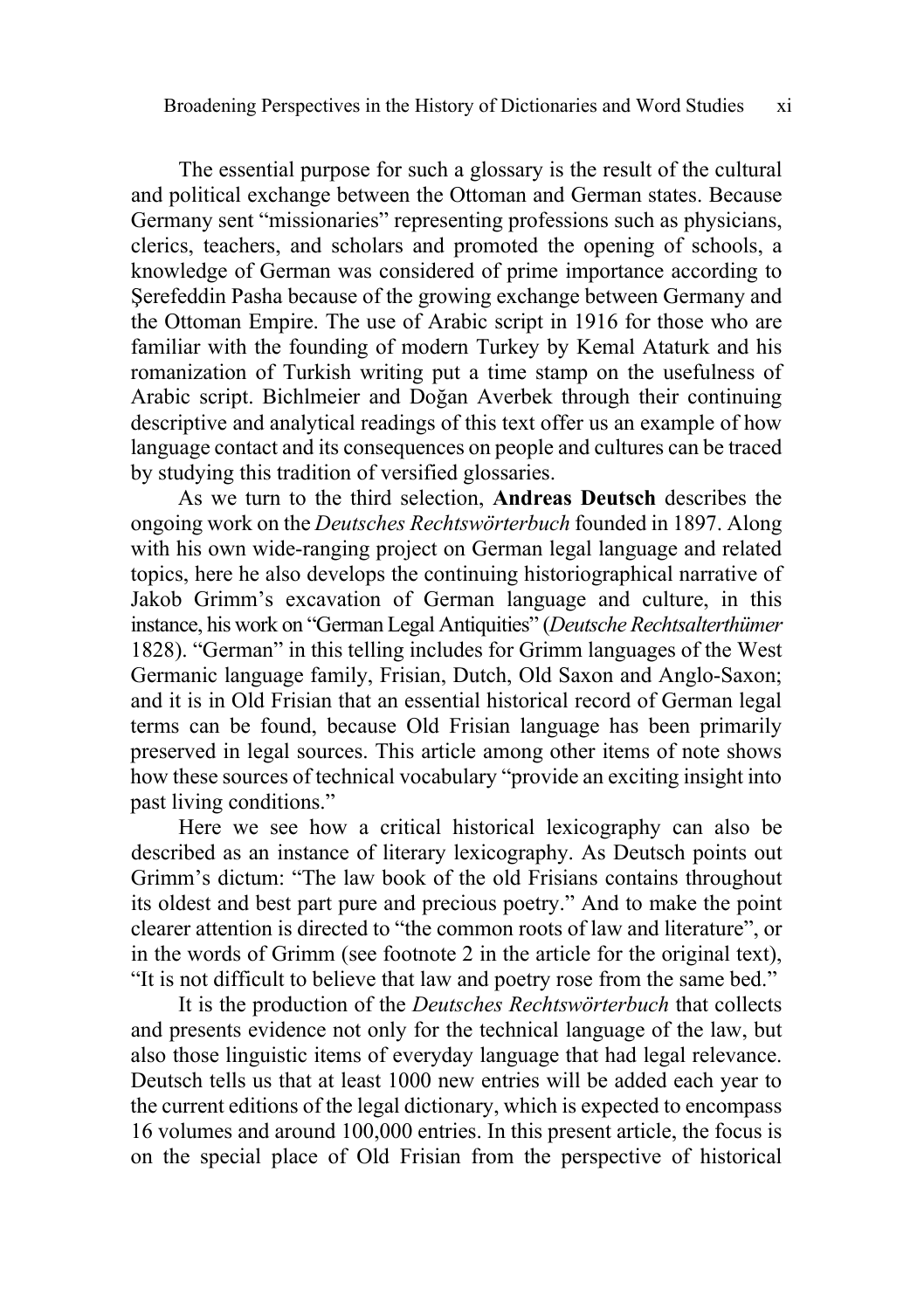The essential purpose for such a glossary is the result of the cultural and political exchange between the Ottoman and German states. Because Germany sent "missionaries" representing professions such as physicians, clerics, teachers, and scholars and promoted the opening of schools, a knowledge of German was considered of prime importance according to Şerefeddin Pasha because of the growing exchange between Germany and the Ottoman Empire. The use of Arabic script in 1916 for those who are familiar with the founding of modern Turkey by Kemal Ataturk and his romanization of Turkish writing put a time stamp on the usefulness of Arabic script. Bichlmeier and Doğan Averbek through their continuing descriptive and analytical readings of this text offer us an example of how language contact and its consequences on people and cultures can be traced by studying this tradition of versified glossaries.

As we turn to the third selection, **Andreas Deutsch** describes the ongoing work on the *Deutsches Rechtswörterbuch* founded in 1897. Along with his own wide-ranging project on German legal language and related topics, here he also develops the continuing historiographical narrative of Jakob Grimm's excavation of German language and culture, in this instance, his work on "German Legal Antiquities" (*Deutsche Rechtsalterthümer* 1828). "German" in this telling includes for Grimm languages of the West Germanic language family, Frisian, Dutch, Old Saxon and Anglo-Saxon; and it is in Old Frisian that an essential historical record of German legal terms can be found, because Old Frisian language has been primarily preserved in legal sources. This article among other items of note shows how these sources of technical vocabulary "provide an exciting insight into past living conditions."

Here we see how a critical historical lexicography can also be described as an instance of literary lexicography. As Deutsch points out Grimm's dictum: "The law book of the old Frisians contains throughout its oldest and best part pure and precious poetry." And to make the point clearer attention is directed to "the common roots of law and literature", or in the words of Grimm (see footnote 2 in the article for the original text), "It is not difficult to believe that law and poetry rose from the same bed."

It is the production of the *Deutsches Rechtswörterbuch* that collects and presents evidence not only for the technical language of the law, but also those linguistic items of everyday language that had legal relevance. Deutsch tells us that at least 1000 new entries will be added each year to the current editions of the legal dictionary, which is expected to encompass 16 volumes and around 100,000 entries. In this present article, the focus is on the special place of Old Frisian from the perspective of historical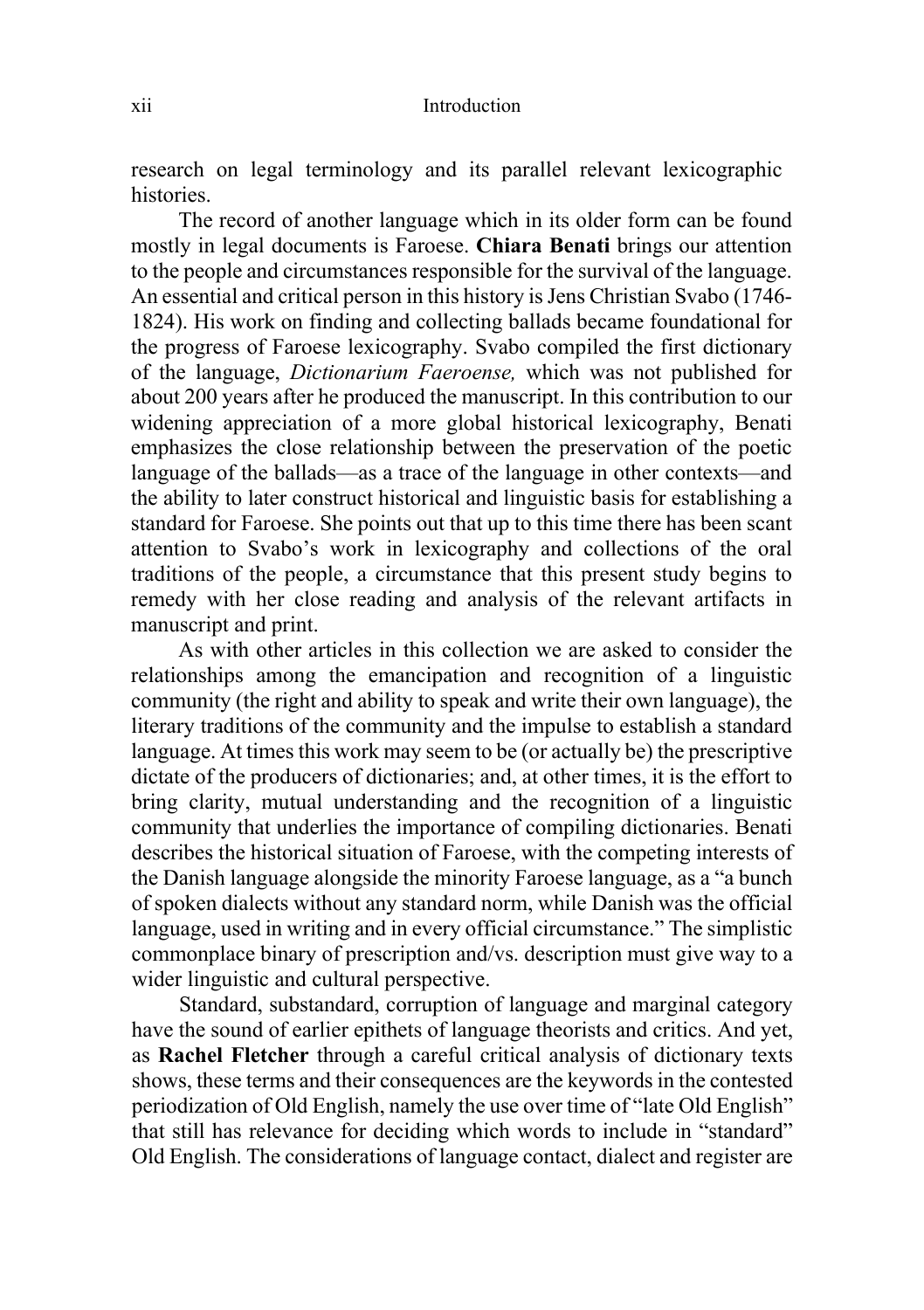research on legal terminology and its parallel relevant lexicographic histories.

The record of another language which in its older form can be found mostly in legal documents is Faroese. **Chiara Benati** brings our attention to the people and circumstances responsible for the survival of the language. An essential and critical person in this history is Jens Christian Svabo (1746-1824). His work on finding and collecting ballads became foundational for the progress of Faroese lexicography. Svabo compiled the first dictionary of the language, *Dictionarium Faeroense,* which was not published for about 200 years after he produced the manuscript. In this contribution to our widening appreciation of a more global historical lexicography, Benati emphasizes the close relationship between the preservation of the poetic language of the ballads—as a trace of the language in other contexts—and the ability to later construct historical and linguistic basis for establishing a standard for Faroese. She points out that up to this time there has been scant attention to Svabo's work in lexicography and collections of the oral traditions of the people, a circumstance that this present study begins to remedy with her close reading and analysis of the relevant artifacts in manuscript and print.

As with other articles in this collection we are asked to consider the relationships among the emancipation and recognition of a linguistic community (the right and ability to speak and write their own language), the literary traditions of the community and the impulse to establish a standard language. At times this work may seem to be (or actually be) the prescriptive dictate of the producers of dictionaries; and, at other times, it is the effort to bring clarity, mutual understanding and the recognition of a linguistic community that underlies the importance of compiling dictionaries. Benati describes the historical situation of Faroese, with the competing interests of the Danish language alongside the minority Faroese language, as a "a bunch of spoken dialects without any standard norm, while Danish was the official language, used in writing and in every official circumstance." The simplistic commonplace binary of prescription and/vs. description must give way to a wider linguistic and cultural perspective.

Standard, substandard, corruption of language and marginal category have the sound of earlier epithets of language theorists and critics. And yet, as **Rachel Fletcher** through a careful critical analysis of dictionary texts shows, these terms and their consequences are the keywords in the contested periodization of Old English, namely the use over time of "late Old English" that still has relevance for deciding which words to include in "standard" Old English. The considerations of language contact, dialect and register are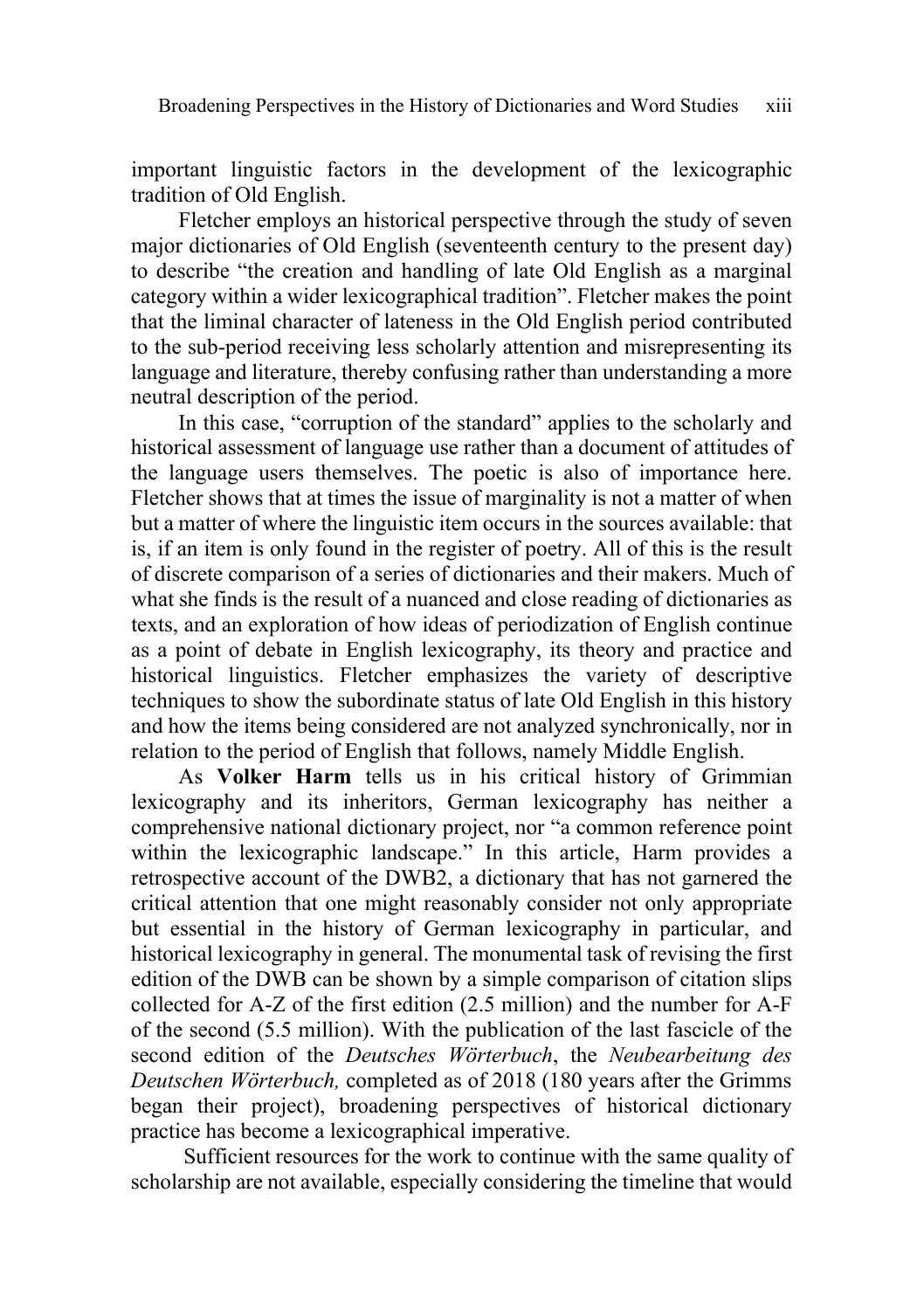important linguistic factors in the development of the lexicographic tradition of Old English.

Fletcher employs an historical perspective through the study of seven major dictionaries of Old English (seventeenth century to the present day) to describe "the creation and handling of late Old English as a marginal category within a wider lexicographical tradition". Fletcher makes the point that the liminal character of lateness in the Old English period contributed to the sub-period receiving less scholarly attention and misrepresenting its language and literature, thereby confusing rather than understanding a more neutral description of the period.

In this case, "corruption of the standard" applies to the scholarly and historical assessment of language use rather than a document of attitudes of the language users themselves. The poetic is also of importance here. Fletcher shows that at times the issue of marginality is not a matter of when but a matter of where the linguistic item occurs in the sources available: that is, if an item is only found in the register of poetry. All of this is the result of discrete comparison of a series of dictionaries and their makers. Much of what she finds is the result of a nuanced and close reading of dictionaries as texts, and an exploration of how ideas of periodization of English continue as a point of debate in English lexicography, its theory and practice and historical linguistics. Fletcher emphasizes the variety of descriptive techniques to show the subordinate status of late Old English in this history and how the items being considered are not analyzed synchronically, nor in relation to the period of English that follows, namely Middle English.

As **Volker Harm** tells us in his critical history of Grimmian lexicography and its inheritors, German lexicography has neither a comprehensive national dictionary project, nor "a common reference point within the lexicographic landscape." In this article, Harm provides a retrospective account of the DWB2, a dictionary that has not garnered the critical attention that one might reasonably consider not only appropriate but essential in the history of German lexicography in particular, and historical lexicography in general. The monumental task of revising the first edition of the DWB can be shown by a simple comparison of citation slips collected for A-Z of the first edition (2.5 million) and the number for A-F of the second (5.5 million). With the publication of the last fascicle of the second edition of the *Deutsches Wörterbuch*, the *Neubearbeitung des Deutschen Wörterbuch,* completed as of 2018 (180 years after the Grimms began their project), broadening perspectives of historical dictionary practice has become a lexicographical imperative.

Sufficient resources for the work to continue with the same quality of scholarship are not available, especially considering the timeline that would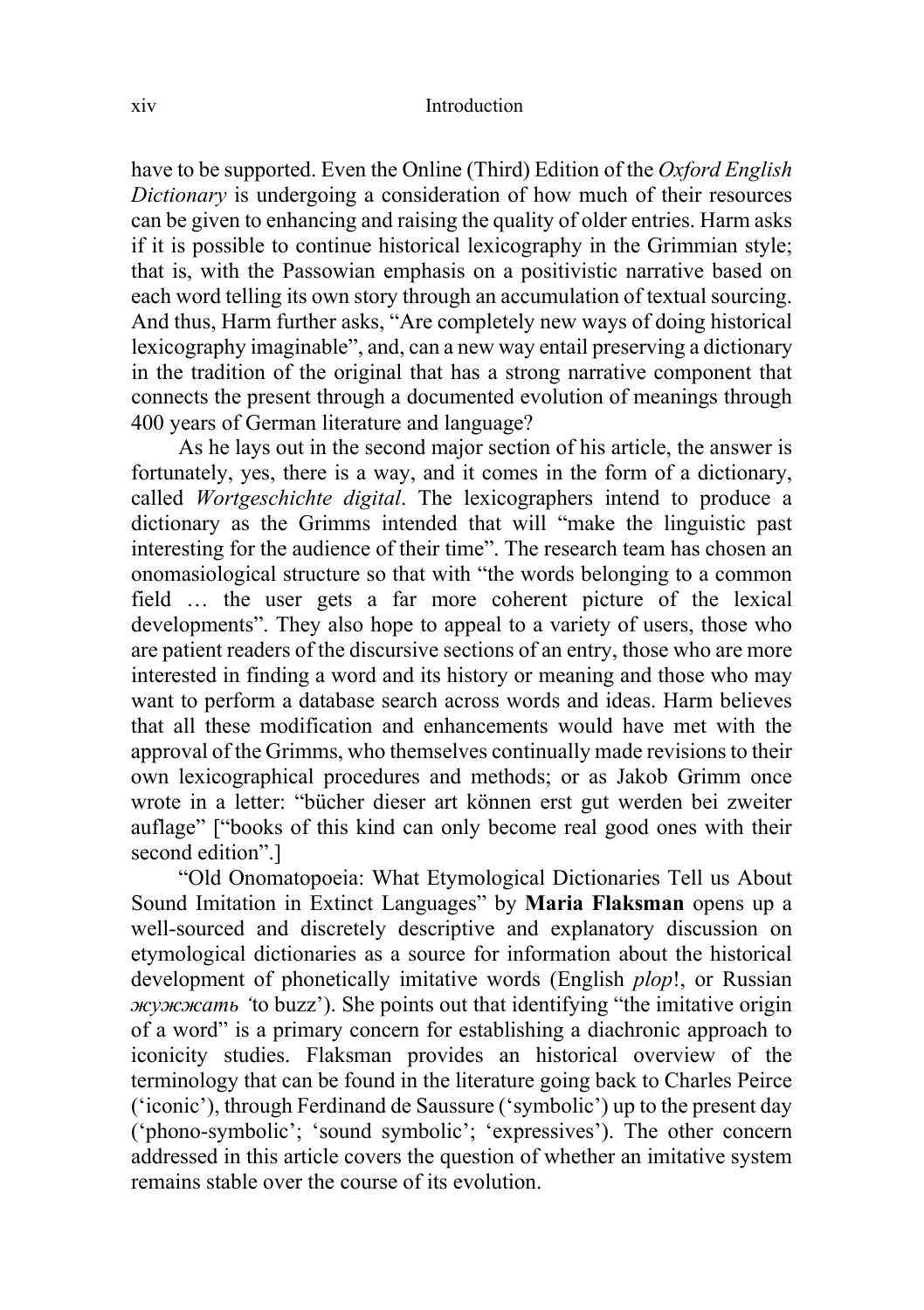have to be supported. Even the Online (Third) Edition of the *Oxford English Dictionary* is undergoing a consideration of how much of their resources can be given to enhancing and raising the quality of older entries. Harm asks if it is possible to continue historical lexicography in the Grimmian style; that is, with the Passowian emphasis on a positivistic narrative based on each word telling its own story through an accumulation of textual sourcing. And thus, Harm further asks, "Are completely new ways of doing historical lexicography imaginable", and, can a new way entail preserving a dictionary in the tradition of the original that has a strong narrative component that connects the present through a documented evolution of meanings through 400 years of German literature and language?

As he lays out in the second major section of his article, the answer is fortunately, yes, there is a way, and it comes in the form of a dictionary, called *Wortgeschichte digital*. The lexicographers intend to produce a dictionary as the Grimms intended that will "make the linguistic past interesting for the audience of their time". The research team has chosen an onomasiological structure so that with "the words belonging to a common field … the user gets a far more coherent picture of the lexical developments". They also hope to appeal to a variety of users, those who are patient readers of the discursive sections of an entry, those who are more interested in finding a word and its history or meaning and those who may want to perform a database search across words and ideas. Harm believes that all these modification and enhancements would have met with the approval of the Grimms, who themselves continually made revisionsto their own lexicographical procedures and methods; or as Jakob Grimm once wrote in a letter: "bücher dieser art können erst gut werden bei zweiter auflage" ["books of this kind can only become real good ones with their second edition".]

"Old Onomatopoeia: What Etymological Dictionaries Tell us About Sound Imitation in Extinct Languages" by **Maria Flaksman** opens up a well-sourced and discretely descriptive and explanatory discussion on etymological dictionaries as a source for information about the historical development of phonetically imitative words (English *plop*!, or Russian *жужжать '*to buzz'). She points out that identifying "the imitative origin of a word" is a primary concern for establishing a diachronic approach to iconicity studies. Flaksman provides an historical overview of the terminology that can be found in the literature going back to Charles Peirce ('iconic'), through Ferdinand de Saussure ('symbolic') up to the present day ('phono-symbolic'; 'sound symbolic'; 'expressives'). The other concern addressed in this article covers the question of whether an imitative system remains stable over the course of its evolution.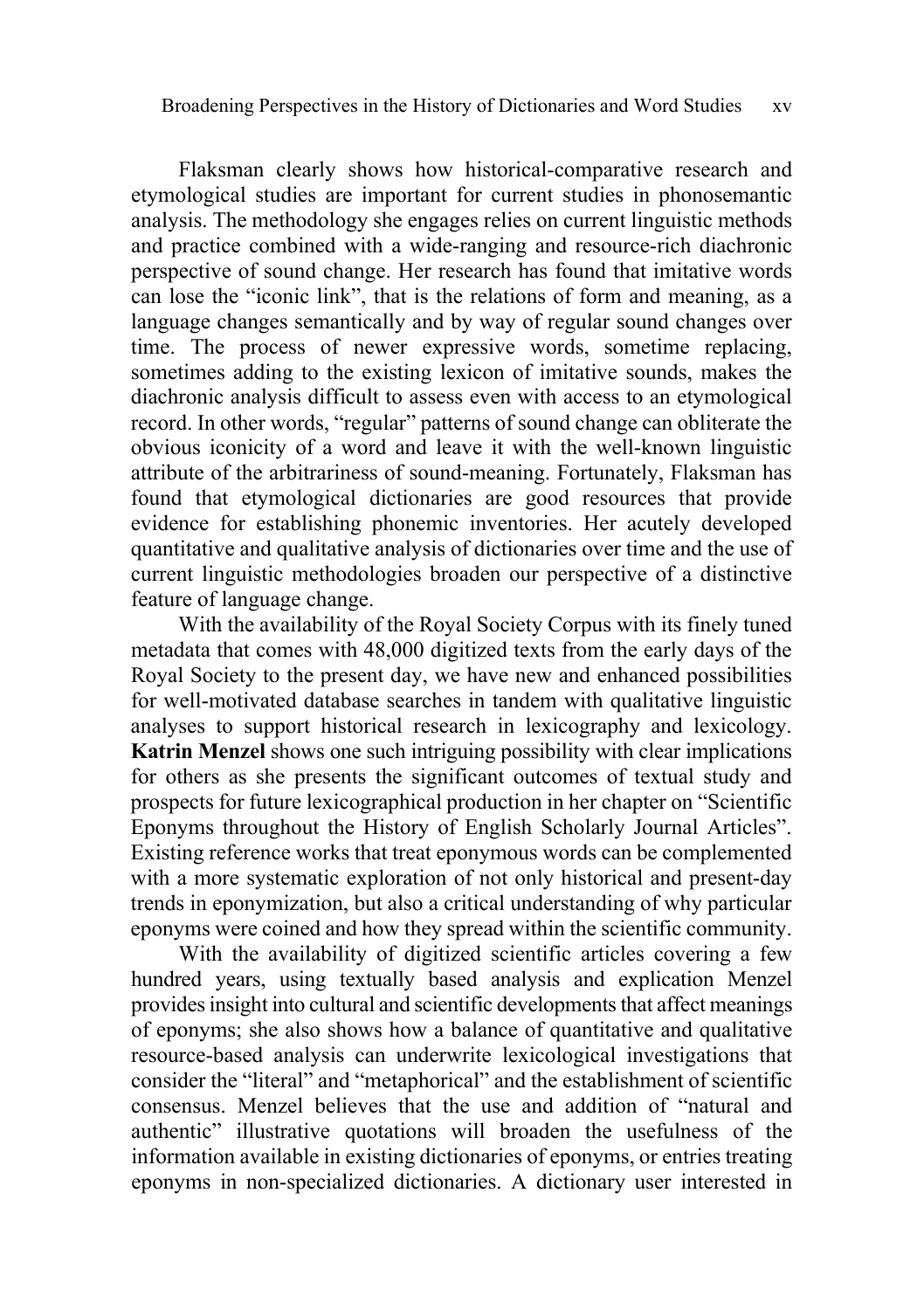Flaksman clearly shows how historical-comparative research and etymological studies are important for current studies in phonosemantic analysis. The methodology she engages relies on current linguistic methods and practice combined with a wide-ranging and resource-rich diachronic perspective of sound change. Her research has found that imitative words can lose the "iconic link", that is the relations of form and meaning, as a language changes semantically and by way of regular sound changes over time. The process of newer expressive words, sometime replacing, sometimes adding to the existing lexicon of imitative sounds, makes the diachronic analysis difficult to assess even with access to an etymological record. In other words, "regular" patterns of sound change can obliterate the obvious iconicity of a word and leave it with the well-known linguistic attribute of the arbitrariness of sound-meaning. Fortunately, Flaksman has found that etymological dictionaries are good resources that provide evidence for establishing phonemic inventories. Her acutely developed quantitative and qualitative analysis of dictionaries over time and the use of current linguistic methodologies broaden our perspective of a distinctive feature of language change.

With the availability of the Royal Society Corpus with its finely tuned metadata that comes with 48,000 digitized texts from the early days of the Royal Society to the present day, we have new and enhanced possibilities for well-motivated database searches in tandem with qualitative linguistic analyses to support historical research in lexicography and lexicology. **Katrin Menzel** shows one such intriguing possibility with clear implications for others as she presents the significant outcomes of textual study and prospects for future lexicographical production in her chapter on "Scientific Eponyms throughout the History of English Scholarly Journal Articles". Existing reference works that treat eponymous words can be complemented with a more systematic exploration of not only historical and present-day trends in eponymization, but also a critical understanding of why particular eponyms were coined and how they spread within the scientific community.

With the availability of digitized scientific articles covering a few hundred years, using textually based analysis and explication Menzel provides insight into cultural and scientific developments that affect meanings of eponyms; she also shows how a balance of quantitative and qualitative resource-based analysis can underwrite lexicological investigations that consider the "literal" and "metaphorical" and the establishment of scientific consensus. Menzel believes that the use and addition of "natural and authentic" illustrative quotations will broaden the usefulness of the information available in existing dictionaries of eponyms, or entries treating eponyms in non-specialized dictionaries. A dictionary user interested in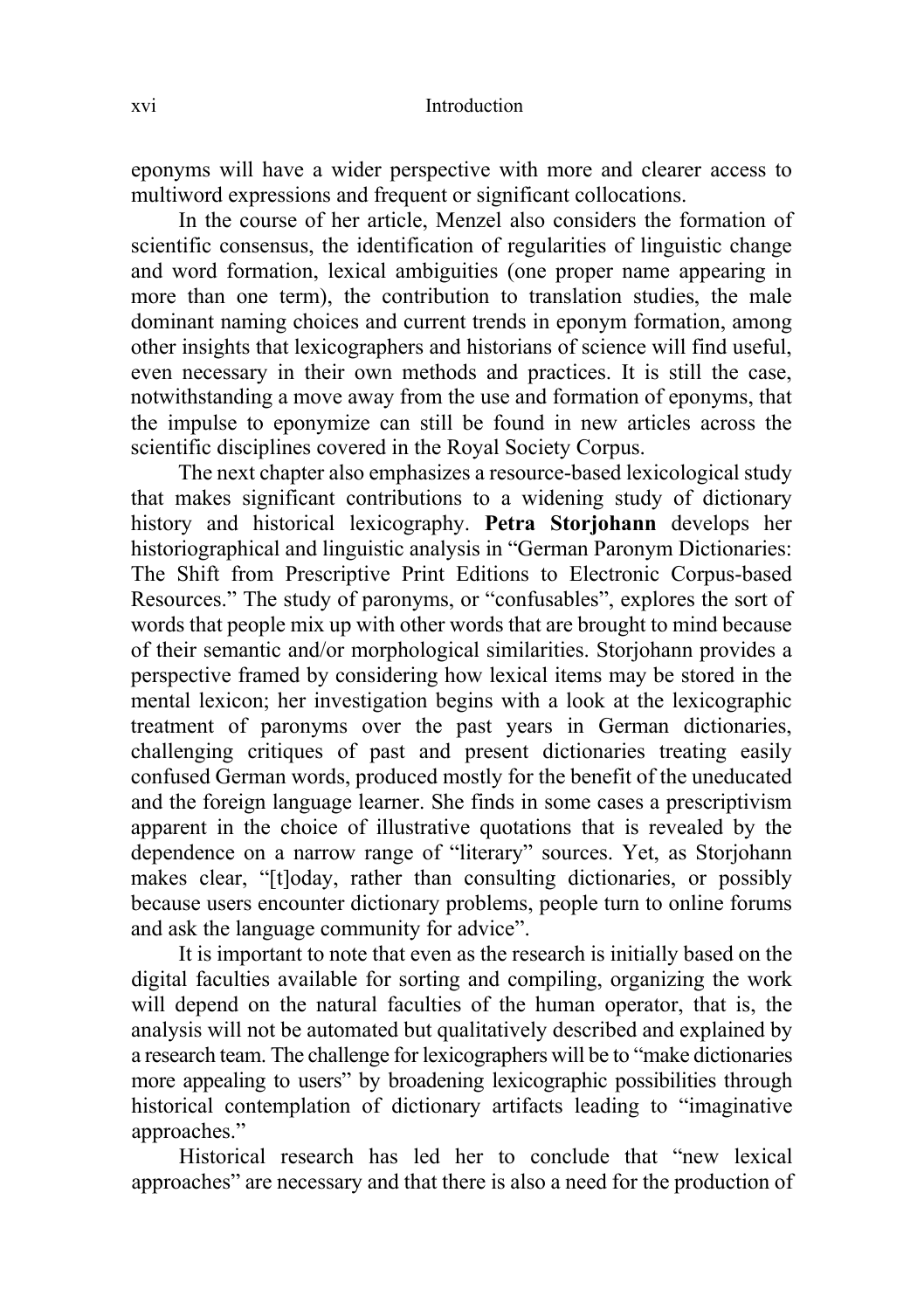eponyms will have a wider perspective with more and clearer access to multiword expressions and frequent or significant collocations.

In the course of her article, Menzel also considers the formation of scientific consensus, the identification of regularities of linguistic change and word formation, lexical ambiguities (one proper name appearing in more than one term), the contribution to translation studies, the male dominant naming choices and current trends in eponym formation, among other insights that lexicographers and historians of science will find useful, even necessary in their own methods and practices. It is still the case, notwithstanding a move away from the use and formation of eponyms, that the impulse to eponymize can still be found in new articles across the scientific disciplines covered in the Royal Society Corpus.

The next chapter also emphasizes a resource-based lexicological study that makes significant contributions to a widening study of dictionary history and historical lexicography. **Petra Storjohann** develops her historiographical and linguistic analysis in "German Paronym Dictionaries: The Shift from Prescriptive Print Editions to Electronic Corpus-based Resources." The study of paronyms, or "confusables", explores the sort of words that people mix up with other words that are brought to mind because of their semantic and/or morphological similarities. Storjohann provides a perspective framed by considering how lexical items may be stored in the mental lexicon; her investigation begins with a look at the lexicographic treatment of paronyms over the past years in German dictionaries, challenging critiques of past and present dictionaries treating easily confused German words, produced mostly for the benefit of the uneducated and the foreign language learner. She finds in some cases a prescriptivism apparent in the choice of illustrative quotations that is revealed by the dependence on a narrow range of "literary" sources. Yet, as Storjohann makes clear, "[t]oday, rather than consulting dictionaries, or possibly because users encounter dictionary problems, people turn to online forums and ask the language community for advice".

It is important to note that even as the research is initially based on the digital faculties available for sorting and compiling, organizing the work will depend on the natural faculties of the human operator, that is, the analysis will not be automated but qualitatively described and explained by a research team. The challenge for lexicographers will be to "make dictionaries more appealing to users" by broadening lexicographic possibilities through historical contemplation of dictionary artifacts leading to "imaginative approaches."

Historical research has led her to conclude that "new lexical approaches" are necessary and that there is also a need for the production of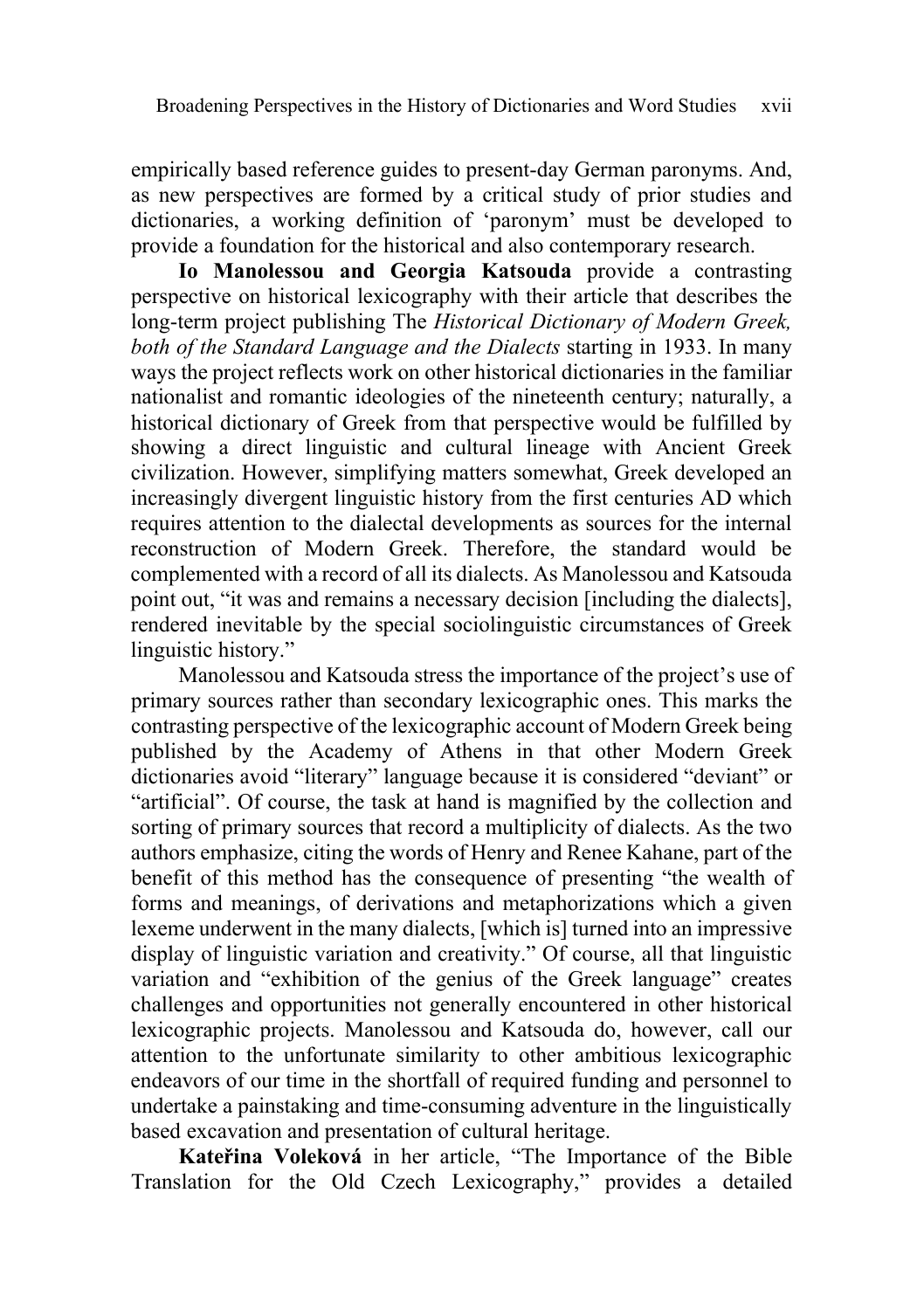empirically based reference guides to present-day German paronyms. And, as new perspectives are formed by a critical study of prior studies and dictionaries, a working definition of 'paronym' must be developed to provide a foundation for the historical and also contemporary research.

**Io Manolessou and Georgia Katsouda** provide a contrasting perspective on historical lexicography with their article that describes the long-term project publishing The *Historical Dictionary of Modern Greek, both of the Standard Language and the Dialects* starting in 1933. In many ways the project reflects work on other historical dictionaries in the familiar nationalist and romantic ideologies of the nineteenth century; naturally, a historical dictionary of Greek from that perspective would be fulfilled by showing a direct linguistic and cultural lineage with Ancient Greek civilization. However, simplifying matters somewhat, Greek developed an increasingly divergent linguistic history from the first centuries AD which requires attention to the dialectal developments as sources for the internal reconstruction of Modern Greek. Therefore, the standard would be complemented with a record of all its dialects. As Manolessou and Katsouda point out, "it was and remains a necessary decision [including the dialects], rendered inevitable by the special sociolinguistic circumstances of Greek linguistic history."

Manolessou and Katsouda stress the importance of the project's use of primary sources rather than secondary lexicographic ones. This marks the contrasting perspective of the lexicographic account of Modern Greek being published by the Academy of Athens in that other Modern Greek dictionaries avoid "literary" language because it is considered "deviant" or "artificial". Of course, the task at hand is magnified by the collection and sorting of primary sources that record a multiplicity of dialects. As the two authors emphasize, citing the words of Henry and Renee Kahane, part of the benefit of this method has the consequence of presenting "the wealth of forms and meanings, of derivations and metaphorizations which a given lexeme underwent in the many dialects, [which is] turned into an impressive display of linguistic variation and creativity." Of course, all that linguistic variation and "exhibition of the genius of the Greek language" creates challenges and opportunities not generally encountered in other historical lexicographic projects. Manolessou and Katsouda do, however, call our attention to the unfortunate similarity to other ambitious lexicographic endeavors of our time in the shortfall of required funding and personnel to undertake a painstaking and time-consuming adventure in the linguistically based excavation and presentation of cultural heritage.

**Kateřina Voleková** in her article, "The Importance of the Bible Translation for the Old Czech Lexicography," provides a detailed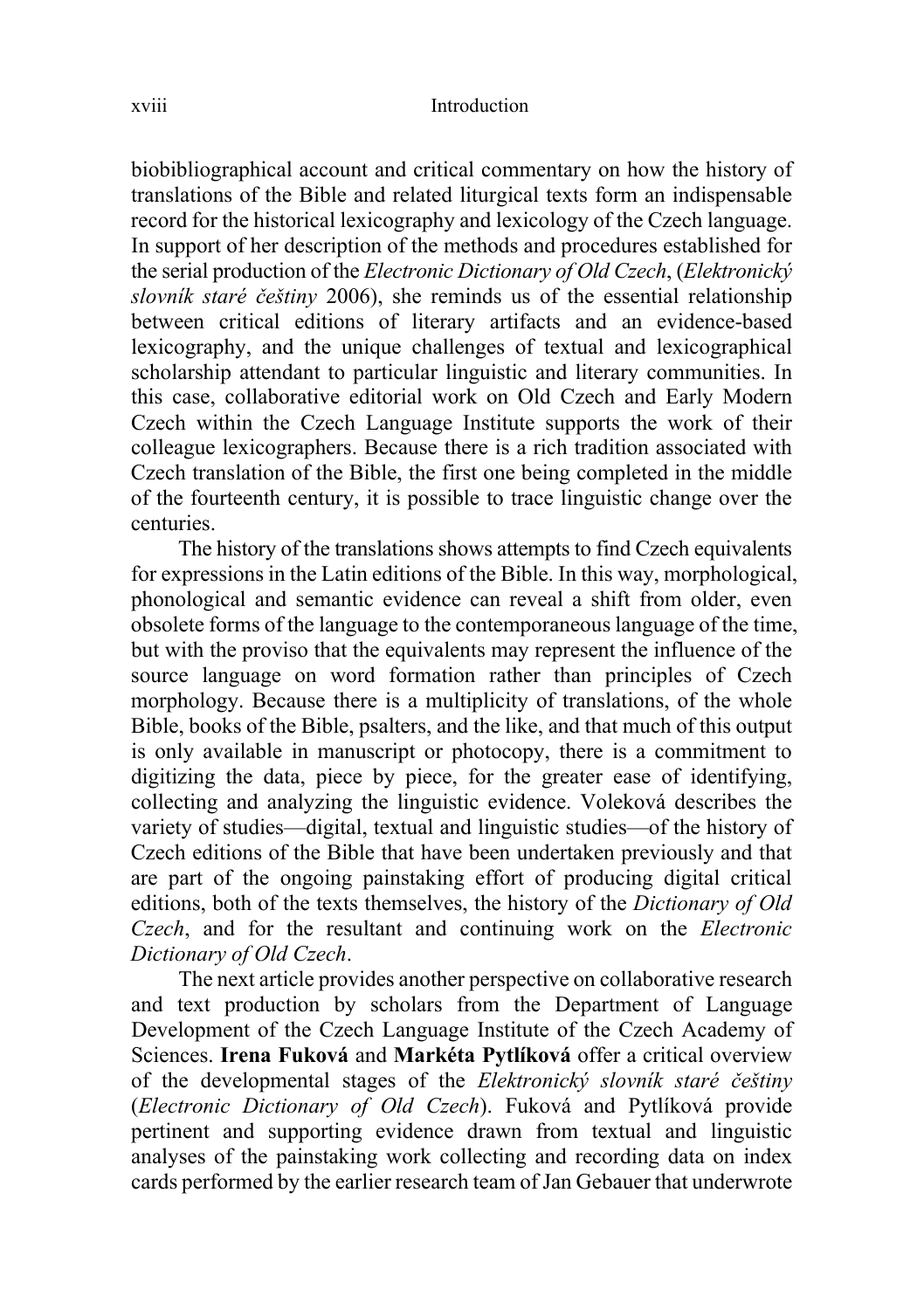biobibliographical account and critical commentary on how the history of translations of the Bible and related liturgical texts form an indispensable record for the historical lexicography and lexicology of the Czech language. In support of her description of the methods and procedures established for the serial production of the *Electronic Dictionary of Old Czech*, (*Elektronický slovník staré češtiny* 2006), she reminds us of the essential relationship between critical editions of literary artifacts and an evidence-based lexicography, and the unique challenges of textual and lexicographical scholarship attendant to particular linguistic and literary communities. In this case, collaborative editorial work on Old Czech and Early Modern Czech within the Czech Language Institute supports the work of their colleague lexicographers. Because there is a rich tradition associated with Czech translation of the Bible, the first one being completed in the middle of the fourteenth century, it is possible to trace linguistic change over the centuries.

The history of the translations shows attempts to find Czech equivalents for expressions in the Latin editions of the Bible. In this way, morphological, phonological and semantic evidence can reveal a shift from older, even obsolete forms of the language to the contemporaneous language of the time, but with the proviso that the equivalents may represent the influence of the source language on word formation rather than principles of Czech morphology. Because there is a multiplicity of translations, of the whole Bible, books of the Bible, psalters, and the like, and that much of this output is only available in manuscript or photocopy, there is a commitment to digitizing the data, piece by piece, for the greater ease of identifying, collecting and analyzing the linguistic evidence. Voleková describes the variety of studies—digital, textual and linguistic studies—of the history of Czech editions of the Bible that have been undertaken previously and that are part of the ongoing painstaking effort of producing digital critical editions, both of the texts themselves, the history of the *Dictionary of Old Czech*, and for the resultant and continuing work on the *Electronic Dictionary of Old Czech*.

The next article provides another perspective on collaborative research and text production by scholars from the Department of Language Development of the Czech Language Institute of the Czech Academy of Sciences. **Irena Fuková** and **Markéta Pytlíková** offer a critical overview of the developmental stages of the *Elektronický slovník staré češtiny* (*Electronic Dictionary of Old Czech*). Fuková and Pytlíková provide pertinent and supporting evidence drawn from textual and linguistic analyses of the painstaking work collecting and recording data on index cards performed by the earlier research team ofJan Gebauer that underwrote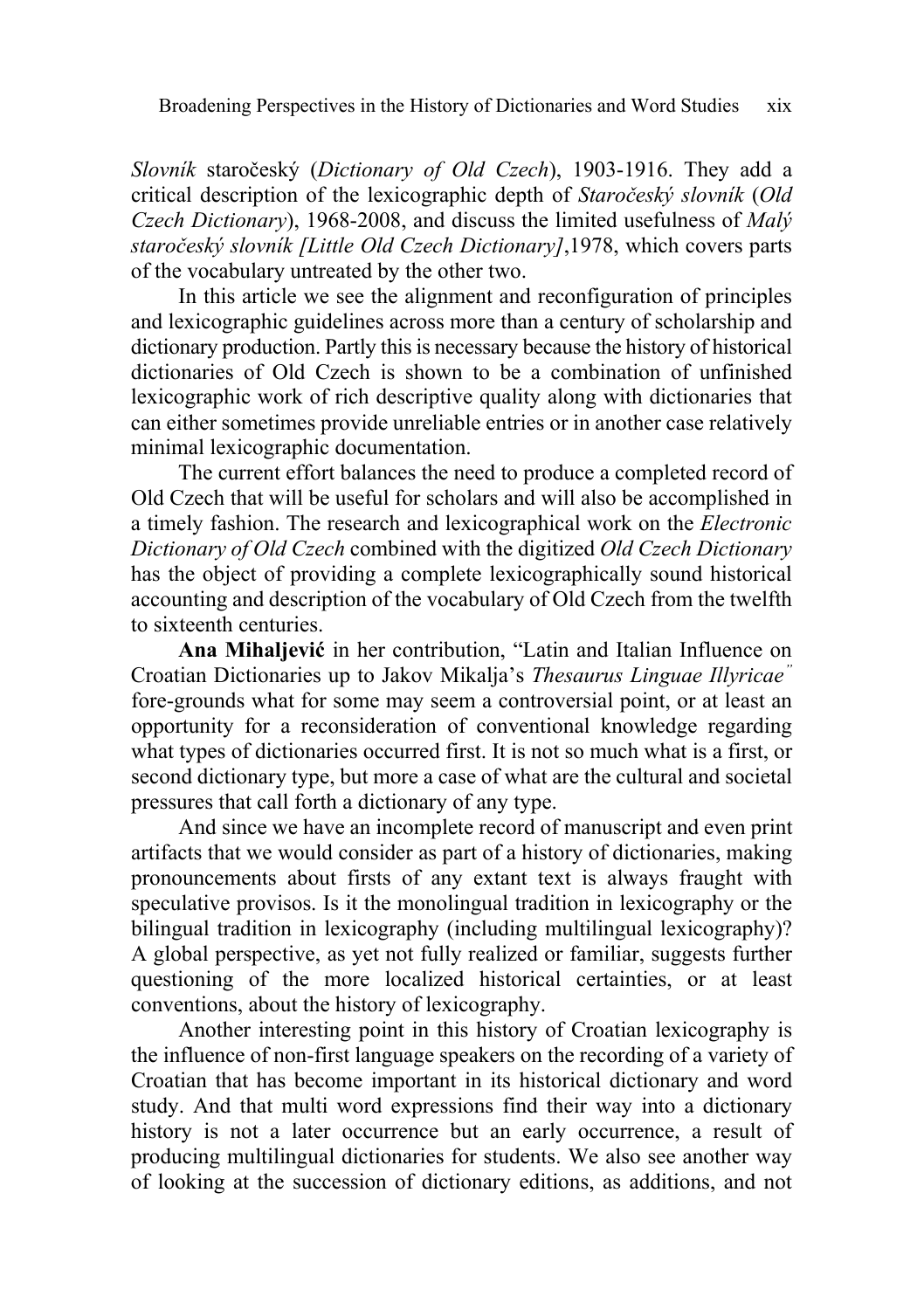*Slovník* staročeský (*Dictionary of Old Czech*), 1903-1916. They add a critical description of the lexicographic depth of *Staročeský slovník* (*Old Czech Dictionary*), 1968-2008, and discuss the limited usefulness of *Malý staročeský slovník [Little Old Czech Dictionary]*,1978, which covers parts of the vocabulary untreated by the other two.

In this article we see the alignment and reconfiguration of principles and lexicographic guidelines across more than a century of scholarship and dictionary production. Partly this is necessary because the history of historical dictionaries of Old Czech is shown to be a combination of unfinished lexicographic work of rich descriptive quality along with dictionaries that can either sometimes provide unreliable entries or in another case relatively minimal lexicographic documentation.

The current effort balances the need to produce a completed record of Old Czech that will be useful for scholars and will also be accomplished in a timely fashion. The research and lexicographical work on the *Electronic Dictionary of Old Czech* combined with the digitized *Old Czech Dictionary* has the object of providing a complete lexicographically sound historical accounting and description of the vocabulary of Old Czech from the twelfth to sixteenth centuries.

**Ana Mihaljević** in her contribution, "Latin and Italian Influence on Croatian Dictionaries up to Jakov Mikalja's *Thesaurus Linguae Illyricae"* fore-grounds what for some may seem a controversial point, or at least an opportunity for a reconsideration of conventional knowledge regarding what types of dictionaries occurred first. It is not so much what is a first, or second dictionary type, but more a case of what are the cultural and societal pressures that call forth a dictionary of any type.

And since we have an incomplete record of manuscript and even print artifacts that we would consider as part of a history of dictionaries, making pronouncements about firsts of any extant text is always fraught with speculative provisos. Is it the monolingual tradition in lexicography or the bilingual tradition in lexicography (including multilingual lexicography)? A global perspective, as yet not fully realized or familiar, suggests further questioning of the more localized historical certainties, or at least conventions, about the history of lexicography.

Another interesting point in this history of Croatian lexicography is the influence of non-first language speakers on the recording of a variety of Croatian that has become important in its historical dictionary and word study. And that multi word expressions find their way into a dictionary history is not a later occurrence but an early occurrence, a result of producing multilingual dictionaries for students. We also see another way of looking at the succession of dictionary editions, as additions, and not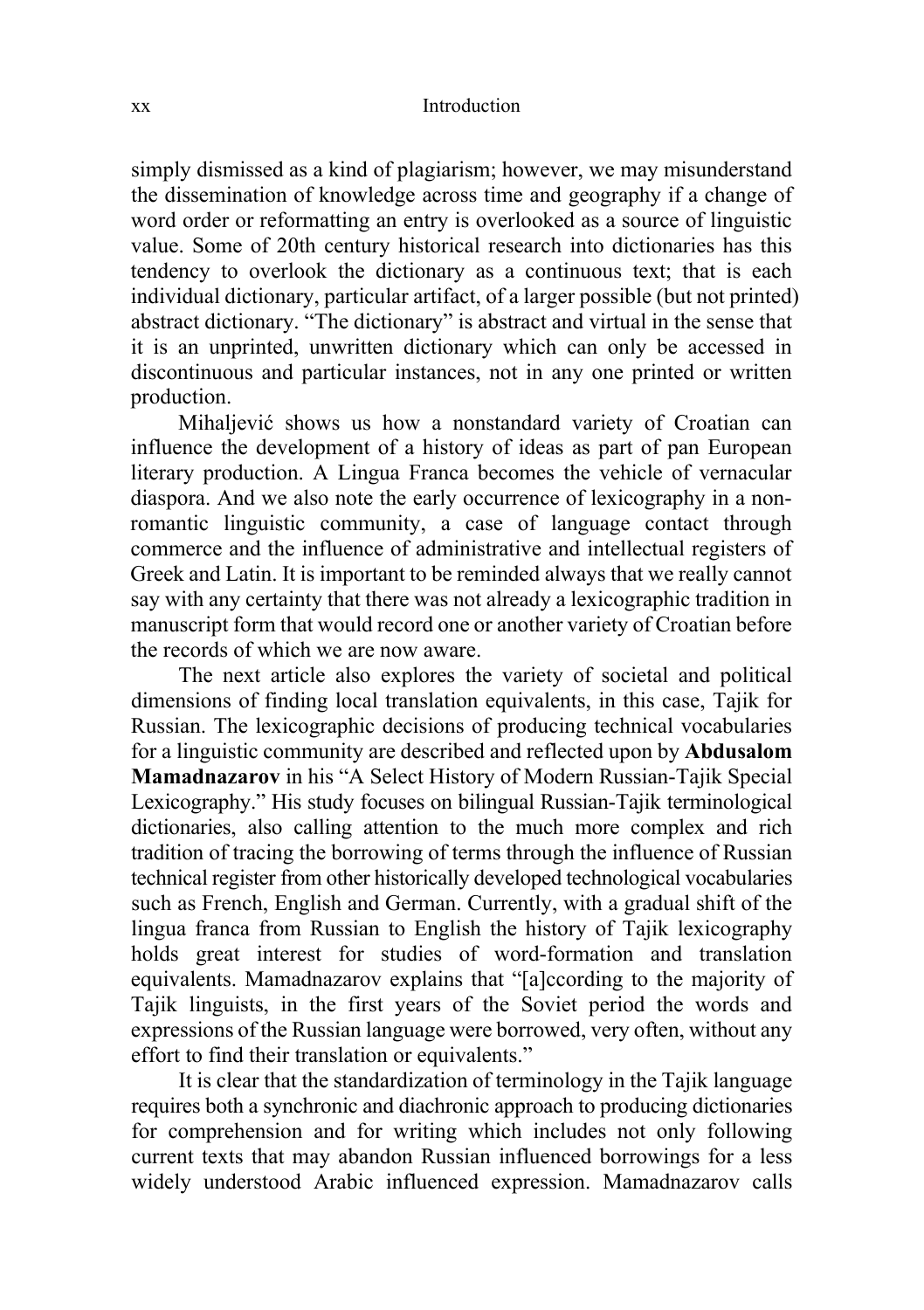#### xx Introduction

simply dismissed as a kind of plagiarism; however, we may misunderstand the dissemination of knowledge across time and geography if a change of word order or reformatting an entry is overlooked as a source of linguistic value. Some of 20th century historical research into dictionaries has this tendency to overlook the dictionary as a continuous text; that is each individual dictionary, particular artifact, of a larger possible (but not printed) abstract dictionary. "The dictionary" is abstract and virtual in the sense that it is an unprinted, unwritten dictionary which can only be accessed in discontinuous and particular instances, not in any one printed or written production.

Mihaljević shows us how a nonstandard variety of Croatian can influence the development of a history of ideas as part of pan European literary production. A Lingua Franca becomes the vehicle of vernacular diaspora. And we also note the early occurrence of lexicography in a nonromantic linguistic community, a case of language contact through commerce and the influence of administrative and intellectual registers of Greek and Latin. It is important to be reminded always that we really cannot say with any certainty that there was not already a lexicographic tradition in manuscript form that would record one or another variety of Croatian before the records of which we are now aware.

The next article also explores the variety of societal and political dimensions of finding local translation equivalents, in this case, Tajik for Russian. The lexicographic decisions of producing technical vocabularies for a linguistic community are described and reflected upon by **Abdusalom Mamadnazarov** in his "A Select History of Modern Russian-Tajik Special Lexicography." His study focuses on bilingual Russian-Tajik terminological dictionaries, also calling attention to the much more complex and rich tradition of tracing the borrowing of terms through the influence of Russian technical register from other historically developed technological vocabularies such as French, English and German. Currently, with a gradual shift of the lingua franca from Russian to English the history of Tajik lexicography holds great interest for studies of word-formation and translation equivalents. Mamadnazarov explains that "[a]ccording to the majority of Tajik linguists, in the first years of the Soviet period the words and expressions of the Russian language were borrowed, very often, without any effort to find their translation or equivalents."

It is clear that the standardization of terminology in the Tajik language requires both a synchronic and diachronic approach to producing dictionaries for comprehension and for writing which includes not only following current texts that may abandon Russian influenced borrowings for a less widely understood Arabic influenced expression. Mamadnazarov calls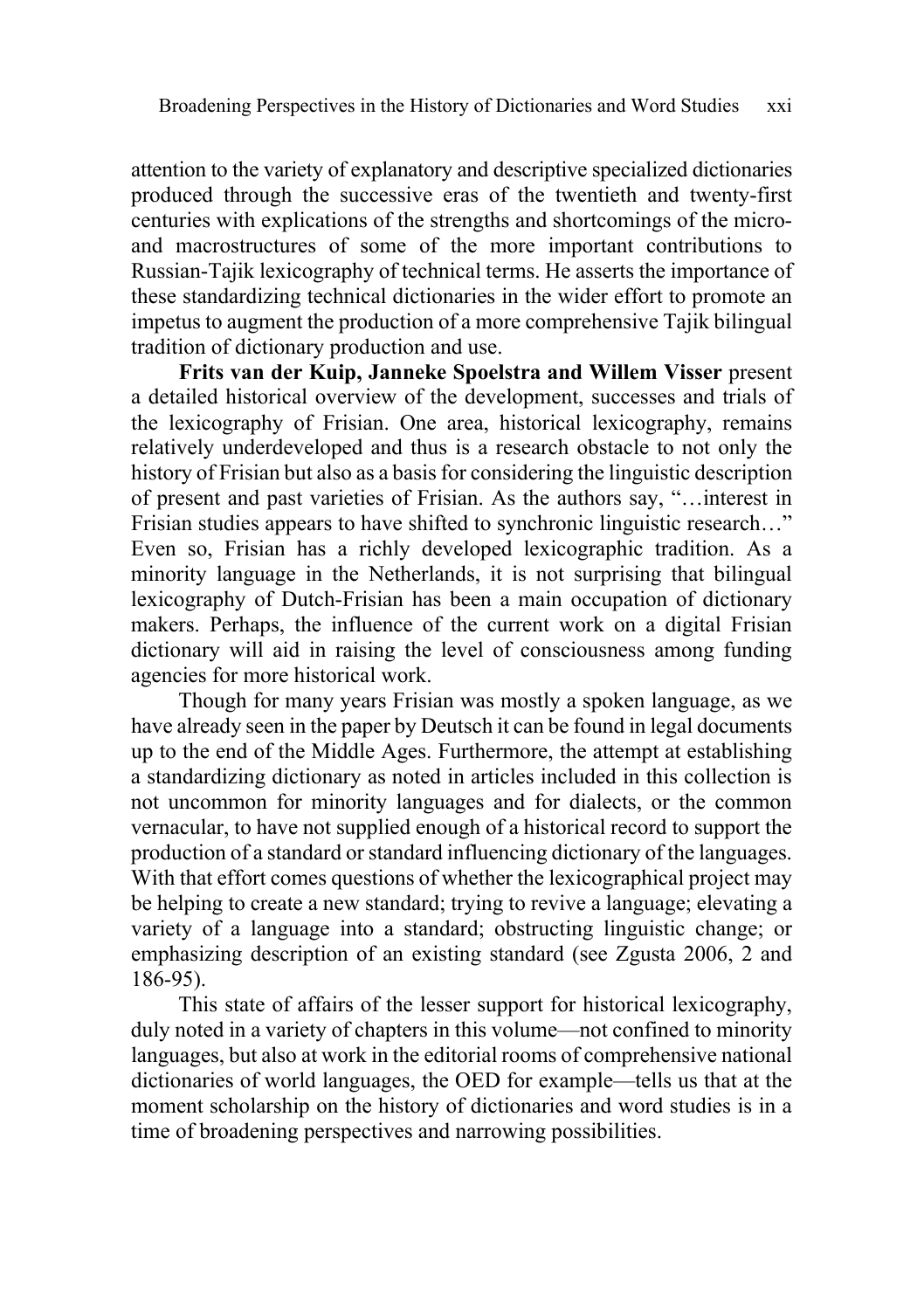attention to the variety of explanatory and descriptive specialized dictionaries produced through the successive eras of the twentieth and twenty-first centuries with explications of the strengths and shortcomings of the microand macrostructures of some of the more important contributions to Russian-Tajik lexicography of technical terms. He asserts the importance of these standardizing technical dictionaries in the wider effort to promote an impetus to augment the production of a more comprehensive Tajik bilingual tradition of dictionary production and use.

**Frits van der Kuip, Janneke Spoelstra and Willem Visser** present a detailed historical overview of the development, successes and trials of the lexicography of Frisian. One area, historical lexicography, remains relatively underdeveloped and thus is a research obstacle to not only the history of Frisian but also as a basis for considering the linguistic description of present and past varieties of Frisian. As the authors say, "…interest in Frisian studies appears to have shifted to synchronic linguistic research…" Even so, Frisian has a richly developed lexicographic tradition. As a minority language in the Netherlands, it is not surprising that bilingual lexicography of Dutch-Frisian has been a main occupation of dictionary makers. Perhaps, the influence of the current work on a digital Frisian dictionary will aid in raising the level of consciousness among funding agencies for more historical work.

Though for many years Frisian was mostly a spoken language, as we have already seen in the paper by Deutsch it can be found in legal documents up to the end of the Middle Ages. Furthermore, the attempt at establishing a standardizing dictionary as noted in articles included in this collection is not uncommon for minority languages and for dialects, or the common vernacular, to have not supplied enough of a historical record to support the production of a standard orstandard influencing dictionary of the languages. With that effort comes questions of whether the lexicographical project may be helping to create a new standard; trying to revive a language; elevating a variety of a language into a standard; obstructing linguistic change; or emphasizing description of an existing standard (see Zgusta 2006, 2 and 186-95).

This state of affairs of the lesser support for historical lexicography, duly noted in a variety of chapters in this volume—not confined to minority languages, but also at work in the editorial rooms of comprehensive national dictionaries of world languages, the OED for example—tells us that at the moment scholarship on the history of dictionaries and word studies is in a time of broadening perspectives and narrowing possibilities.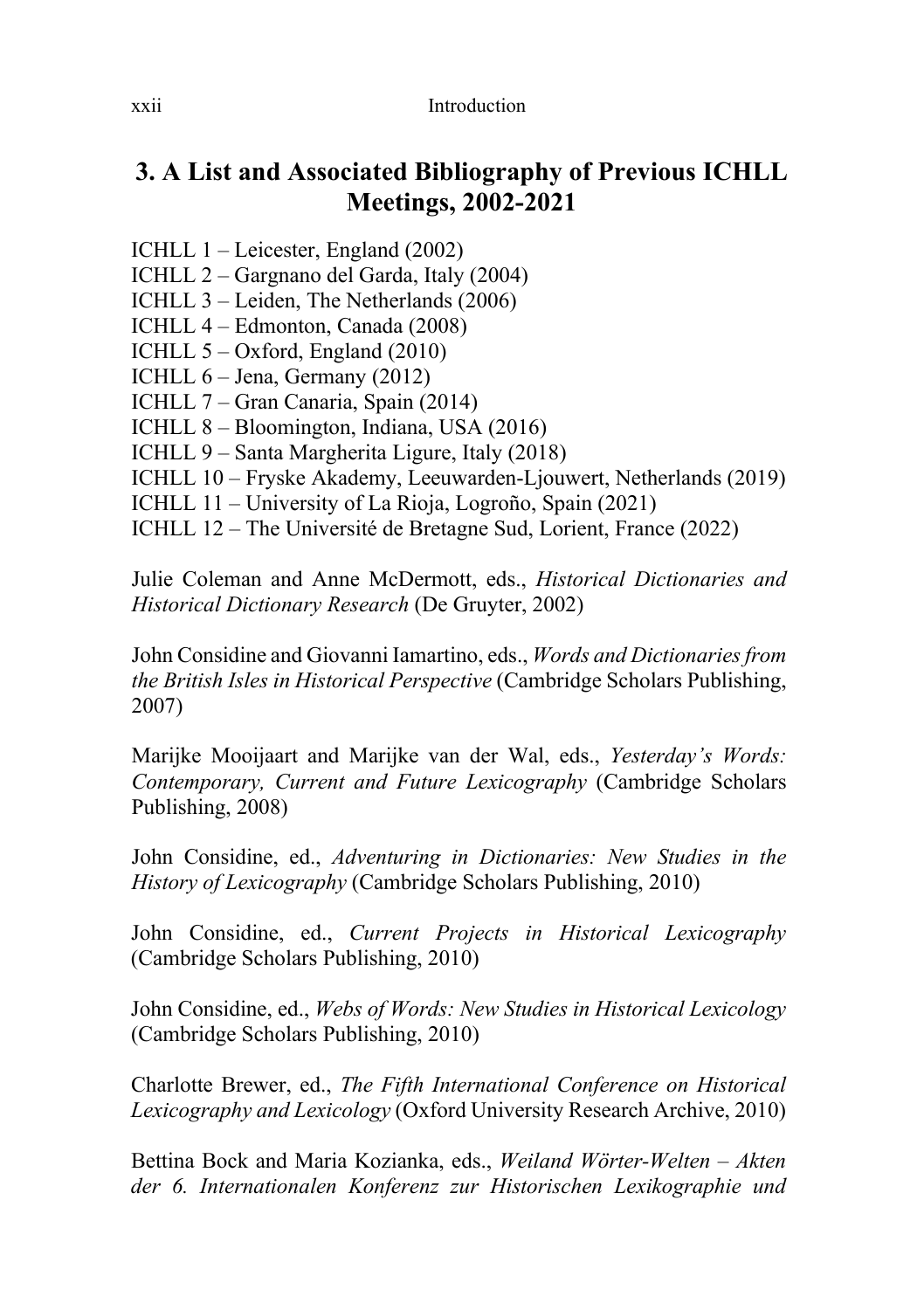### **3. A List and Associated Bibliography of Previous ICHLL Meetings, 2002-2021**

- ICHLL 1 Leicester, England (2002)
- ICHLL 2 Gargnano del Garda, Italy (2004)
- ICHLL 3 Leiden, The Netherlands (2006)
- ICHLL 4 Edmonton, Canada (2008)
- ICHLL 5 Oxford, England (2010)
- ICHLL 6 Jena, Germany (2012)
- ICHLL 7 Gran Canaria, Spain (2014)
- ICHLL 8 Bloomington, Indiana, USA (2016)
- ICHLL 9 Santa Margherita Ligure, Italy (2018)
- ICHLL 10 Fryske Akademy, Leeuwarden-Ljouwert, Netherlands (2019)
- ICHLL 11 University of La Rioja, Logroño, Spain (2021)
- ICHLL 12 The Université de Bretagne Sud, Lorient, France (2022)

Julie Coleman and Anne McDermott, eds., *Historical [Dictionaries](https://www.degruyter.com/view/title/21868?rskey=ONhKkM&result=2) and Historical [Dictionary](https://www.degruyter.com/view/title/21868?rskey=ONhKkM&result=2) Research* (De Gruyter, 2002)

John Considine and Giovanni Iamartino, eds., *Words and [Dictionariesfrom](https://www.cambridgescholars.com/product/9781847181688) the British Isles in Historical [Perspective](https://www.cambridgescholars.com/product/9781847181688)* (Cambridge Scholars Publishing, 2007)

Marijke Mooijaart and Marijke van der Wal, eds., *[Yesterday's](https://www.cambridgescholars.com/product/9781847184696) Words: [Contemporary,](https://www.cambridgescholars.com/product/9781847184696) Current and Future Lexicography* (Cambridge Scholars Publishing, 2008)

John Considine, ed., *Adventuring in [Dictionaries:](https://www.cambridgescholars.com/product/978-1-4438-2576-4) New Studies in the History of [Lexicography](https://www.cambridgescholars.com/product/978-1-4438-2576-4)* (Cambridge Scholars Publishing, 2010)

John Considine, ed., *Current Projects in Historical [Lexicography](https://www.cambridgescholars.com/product/978-1-4438-2116-2)* (Cambridge Scholars Publishing, 2010)

John Considine, ed., *Webs of Words: New Studies in Historical [Lexicology](https://www.cambridgescholars.com/product/978-1-4438-1952-7)* (Cambridge Scholars Publishing, 2010)

Charlotte Brewer, ed., *The Fifth [International](http://ora.ouls.ox.ac.uk/objects/uuid:9056b568-79dd-4de2-a7fc-e3a66b78ff50) Conference on Historical [Lexicography](http://ora.ouls.ox.ac.uk/objects/uuid:9056b568-79dd-4de2-a7fc-e3a66b78ff50) and Lexicology* (Oxford University Research Archive, 2010)

Bettina Bock and Maria Kozianka, eds., *Weiland [Wörter-Welten](http://www.verlagdrkovac.de/978-3-8300-7774-9.htm?bb=1.htm) – Akten der 6. [Internationalen](http://www.verlagdrkovac.de/978-3-8300-7774-9.htm?bb=1.htm) Konferenz zur Historischen Lexikographie und*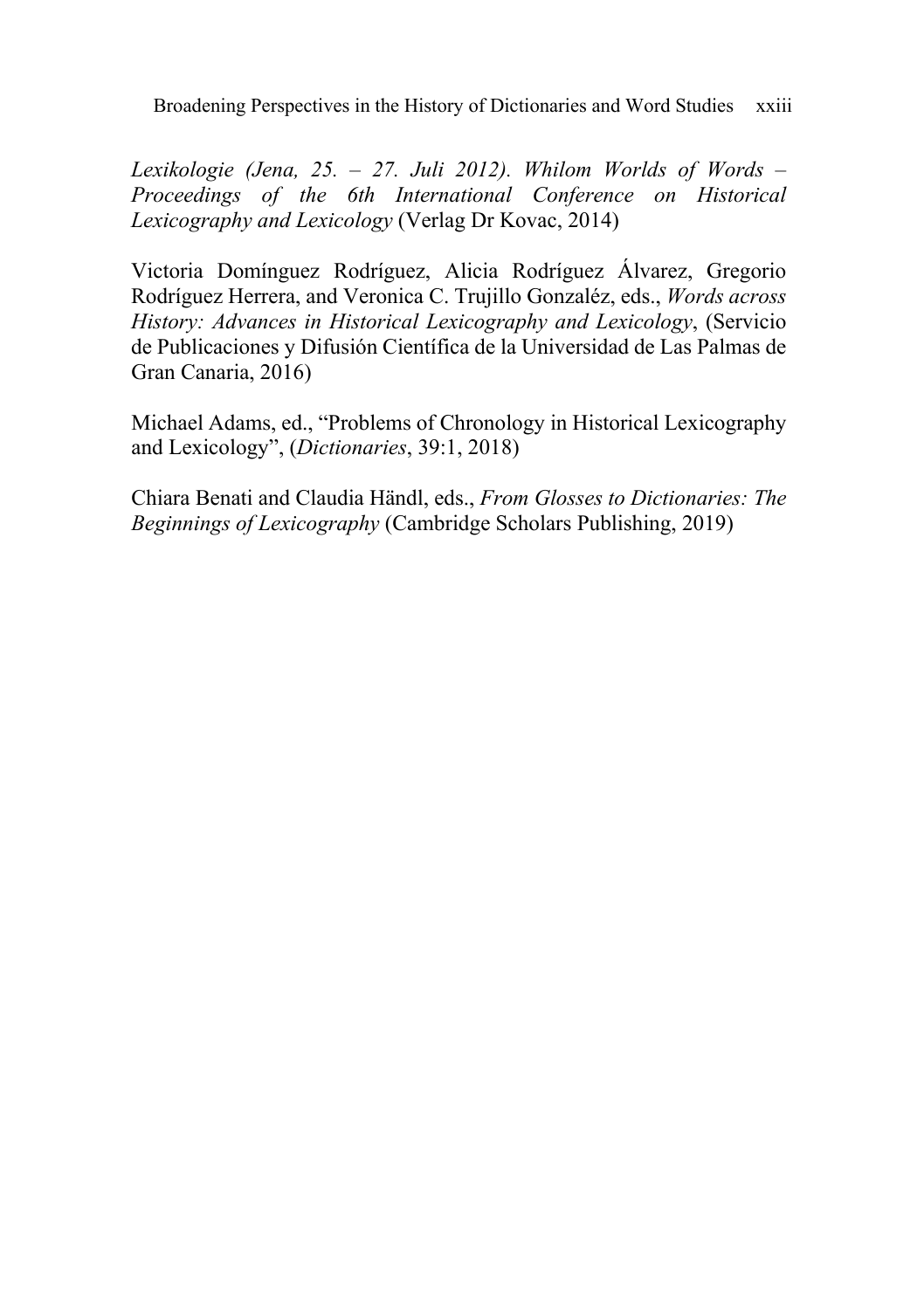Broadening Perspectives in the History of Dictionaries and Word Studies xxiii

*[Lexikologie](http://www.verlagdrkovac.de/978-3-8300-7774-9.htm?bb=1.htm) (Jena, 25. – 27. Juli 2012). Whilom Worlds of Words – Proceedings of the 6th [International](http://www.verlagdrkovac.de/978-3-8300-7774-9.htm?bb=1.htm) Conference on Historical [Lexicography](http://www.verlagdrkovac.de/978-3-8300-7774-9.htm?bb=1.htm) and Lexicology* (Verlag Dr Kovac, 2014)

Victoria Domínguez Rodríguez, Alicia Rodríguez Álvarez, Gregorio Rodríguez Herrera, and Veronica C. Trujillo Gonzaléz, eds., *[Words](https://spdc.ulpgc.es/libro/words-across-history-advances-in-historical-lexicography-and-lexicology_50849/) across History: Advances in Historical [Lexicography](https://spdc.ulpgc.es/libro/words-across-history-advances-in-historical-lexicography-and-lexicology_50849/) and Lexicology*, (Servicio de Publicaciones y Difusión Científica de la Universidad de Las Palmas de Gran Canaria, 2016)

Michael Adams, ed., "Problems of Chronology in Historical [Lexicography](https://dictionarysociety.com/wp-content/uploads/2018/12/Dictionaries-39.1-2018-TOC.pdf) and [Lexicology",](https://dictionarysociety.com/wp-content/uploads/2018/12/Dictionaries-39.1-2018-TOC.pdf) (*Dictionaries*, 39:1, 2018)

Chiara Benati and Claudia Händl, eds., *From Glosses to [Dictionaries:](https://www.cambridgescholars.com/from-glosses-to-dictionaries) The Beginnings of [Lexicography](https://www.cambridgescholars.com/from-glosses-to-dictionaries)* (Cambridge Scholars Publishing, 2019)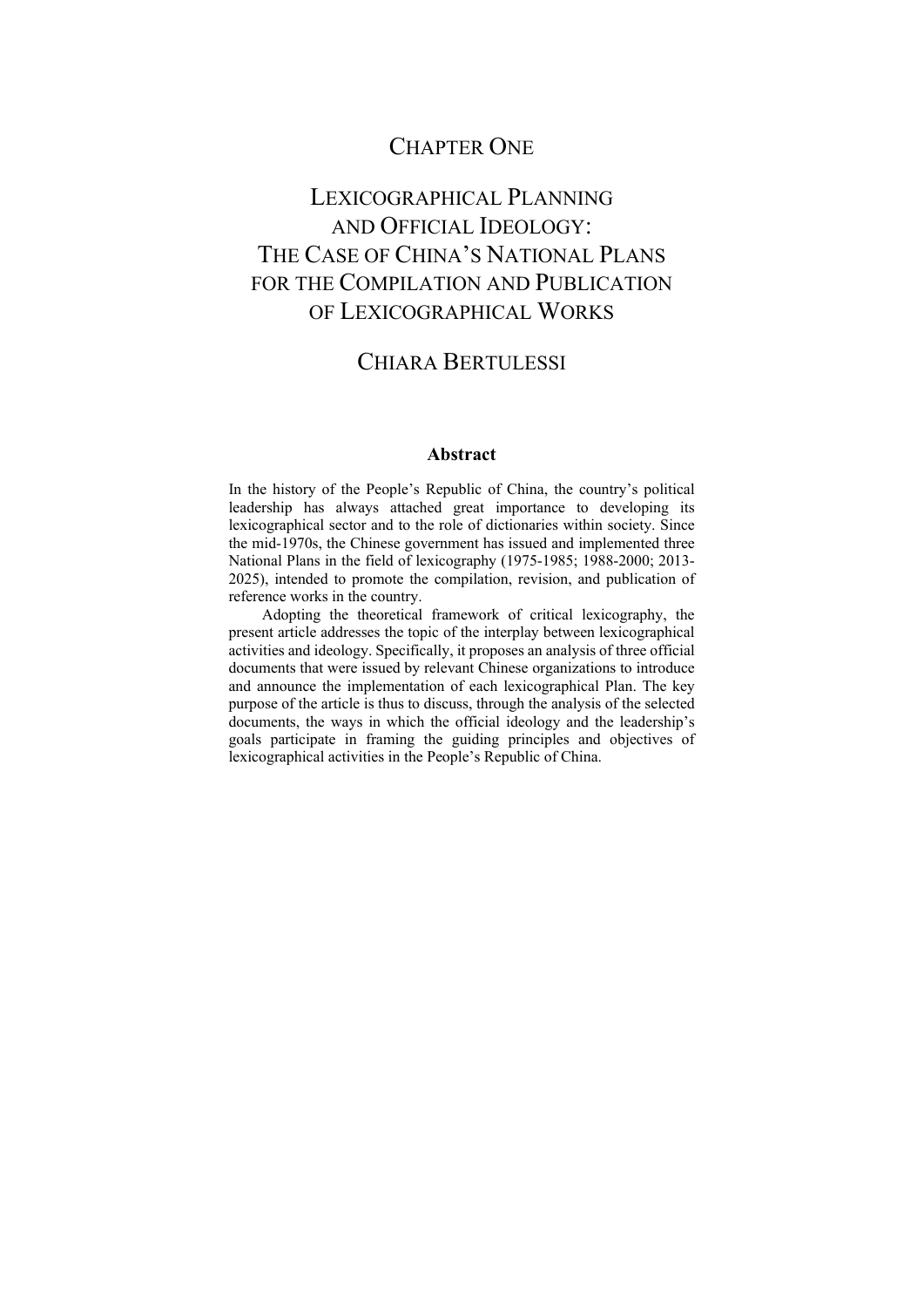### CHAPTER ONE

## LEXICOGRAPHICAL PLANNING AND OFFICIAL IDEOLOGY: THE CASE OF CHINA'S NATIONAL PLANS FOR THE COMPILATION AND PUBLICATION OF LEXICOGRAPHICAL WORKS

### CHIARA BERTULESSI

#### **Abstract**

In the history of the People's Republic of China, the country's political leadership has always attached great importance to developing its lexicographical sector and to the role of dictionaries within society. Since the mid-1970s, the Chinese government has issued and implemented three National Plans in the field of lexicography (1975-1985; 1988-2000; 2013- 2025), intended to promote the compilation, revision, and publication of reference works in the country.

Adopting the theoretical framework of critical lexicography, the present article addresses the topic of the interplay between lexicographical activities and ideology. Specifically, it proposes an analysis of three official documents that were issued by relevant Chinese organizations to introduce and announce the implementation of each lexicographical Plan. The key purpose of the article is thus to discuss, through the analysis of the selected documents, the ways in which the official ideology and the leadership's goals participate in framing the guiding principles and objectives of lexicographical activities in the People's Republic of China.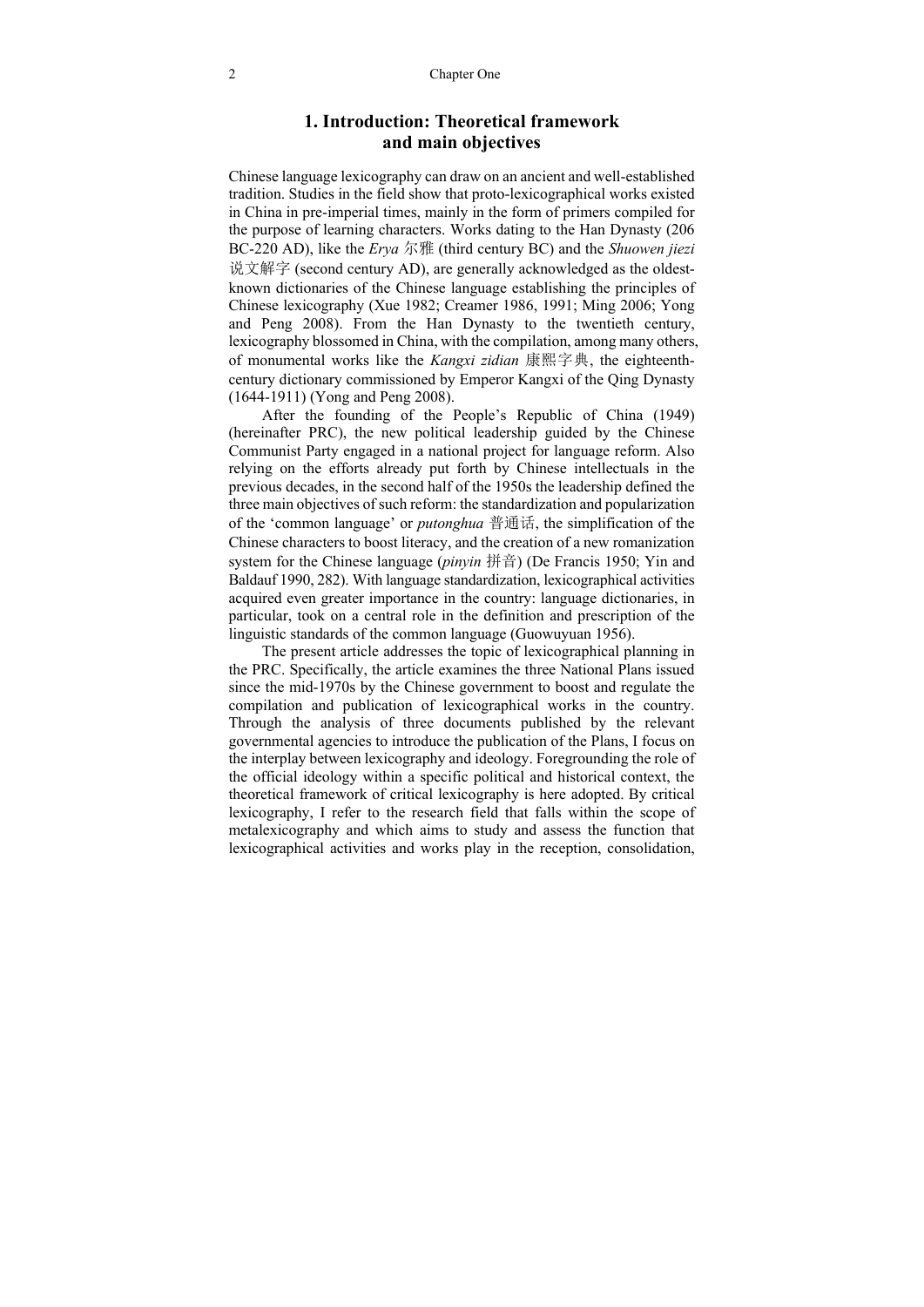#### **1. Introduction: Theoretical framework and main objectives**

Chinese language lexicography can draw on an ancient and well-established tradition. Studies in the field show that proto-lexicographical works existed in China in pre-imperial times, mainly in the form of primers compiled for the purpose of learning characters. Works dating to the Han Dynasty (206 BC-220 AD), like the *Erya* 尔雅 (third century BC) and the *Shuowen jiezi* 说文解字 (second century AD), are generally acknowledged as the oldestknown dictionaries of the Chinese language establishing the principles of Chinese lexicography (Xue 1982; Creamer 1986, 1991; Ming 2006; Yong and Peng 2008). From the Han Dynasty to the twentieth century, lexicography blossomed in China, with the compilation, among many others, of monumental works like the *Kangxi zidian* 康熙字典, the eighteenthcentury dictionary commissioned by Emperor Kangxi of the Qing Dynasty (1644-1911) (Yong and Peng 2008).

After the founding of the People's Republic of China (1949) (hereinafter PRC), the new political leadership guided by the Chinese Communist Party engaged in a national project for language reform. Also relying on the efforts already put forth by Chinese intellectuals in the previous decades, in the second half of the 1950s the leadership defined the three main objectives of such reform: the standardization and popularization of the 'common language' or *putonghua* 普通话, the simplification of the Chinese characters to boost literacy, and the creation of a new romanization system for the Chinese language (*pinyin* 拼音) (De Francis 1950; Yin and Baldauf 1990, 282). With language standardization, lexicographical activities acquired even greater importance in the country: language dictionaries, in particular, took on a central role in the definition and prescription of the linguistic standards of the common language (Guowuyuan 1956).

The present article addresses the topic of lexicographical planning in the PRC. Specifically, the article examines the three National Plans issued since the mid-1970s by the Chinese government to boost and regulate the compilation and publication of lexicographical works in the country. Through the analysis of three documents published by the relevant governmental agencies to introduce the publication of the Plans, I focus on the interplay between lexicography and ideology. Foregrounding the role of the official ideology within a specific political and historical context, the theoretical framework of critical lexicography is here adopted. By critical lexicography, I refer to the research field that falls within the scope of metalexicography and which aims to study and assess the function that lexicographical activities and works play in the reception, consolidation,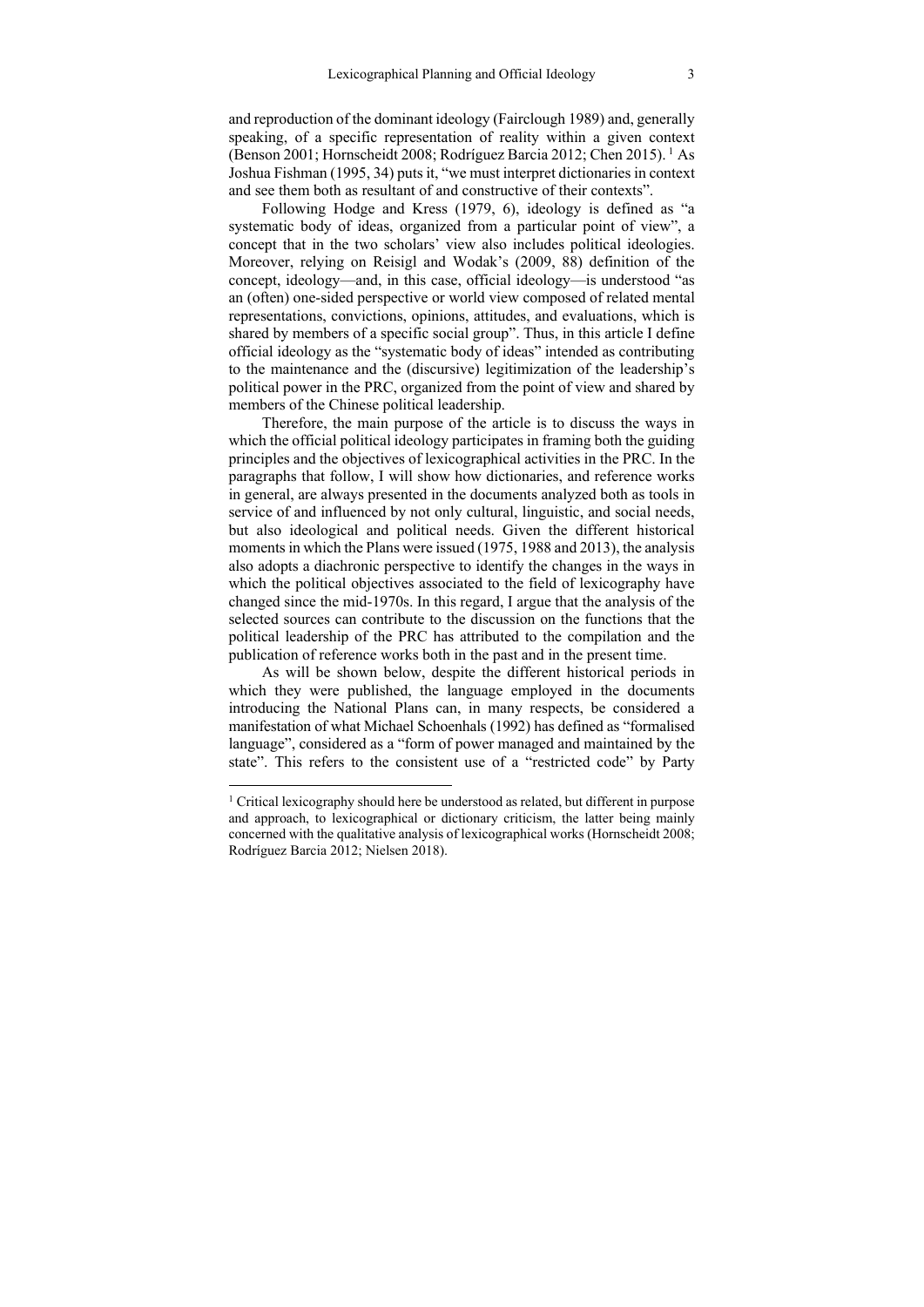and reproduction of the dominant ideology (Fairclough 1989) and, generally speaking, of a specific representation of reality within a given context (Benson 2001; Hornscheidt 2008; Rodríguez Barcia 2012; Chen 2015). 1 As Joshua Fishman (1995, 34) puts it, "we must interpret dictionaries in context and see them both as resultant of and constructive of their contexts".

Following Hodge and Kress (1979, 6), ideology is defined as "a systematic body of ideas, organized from a particular point of view", a concept that in the two scholars' view also includes political ideologies. Moreover, relying on Reisigl and Wodak's (2009, 88) definition of the concept, ideology—and, in this case, official ideology—is understood "as an (often) one-sided perspective or world view composed of related mental representations, convictions, opinions, attitudes, and evaluations, which is shared by members of a specific social group". Thus, in this article I define official ideology as the "systematic body of ideas" intended as contributing to the maintenance and the (discursive) legitimization of the leadership's political power in the PRC, organized from the point of view and shared by members of the Chinese political leadership.

Therefore, the main purpose of the article is to discuss the ways in which the official political ideology participates in framing both the guiding principles and the objectives of lexicographical activities in the PRC. In the paragraphs that follow, I will show how dictionaries, and reference works in general, are always presented in the documents analyzed both as tools in service of and influenced by not only cultural, linguistic, and social needs, but also ideological and political needs. Given the different historical moments in which the Plans were issued (1975, 1988 and 2013), the analysis also adopts a diachronic perspective to identify the changes in the ways in which the political objectives associated to the field of lexicography have changed since the mid-1970s. In this regard, I argue that the analysis of the selected sources can contribute to the discussion on the functions that the political leadership of the PRC has attributed to the compilation and the publication of reference works both in the past and in the present time.

As will be shown below, despite the different historical periods in which they were published, the language employed in the documents introducing the National Plans can, in many respects, be considered a manifestation of what Michael Schoenhals (1992) has defined as "formalised language", considered as a "form of power managed and maintained by the state". This refers to the consistent use of a "restricted code" by Party

<sup>&</sup>lt;sup>1</sup> Critical lexicography should here be understood as related, but different in purpose and approach, to lexicographical or dictionary criticism, the latter being mainly concerned with the qualitative analysis of lexicographical works (Hornscheidt 2008; Rodríguez Barcia 2012; Nielsen 2018).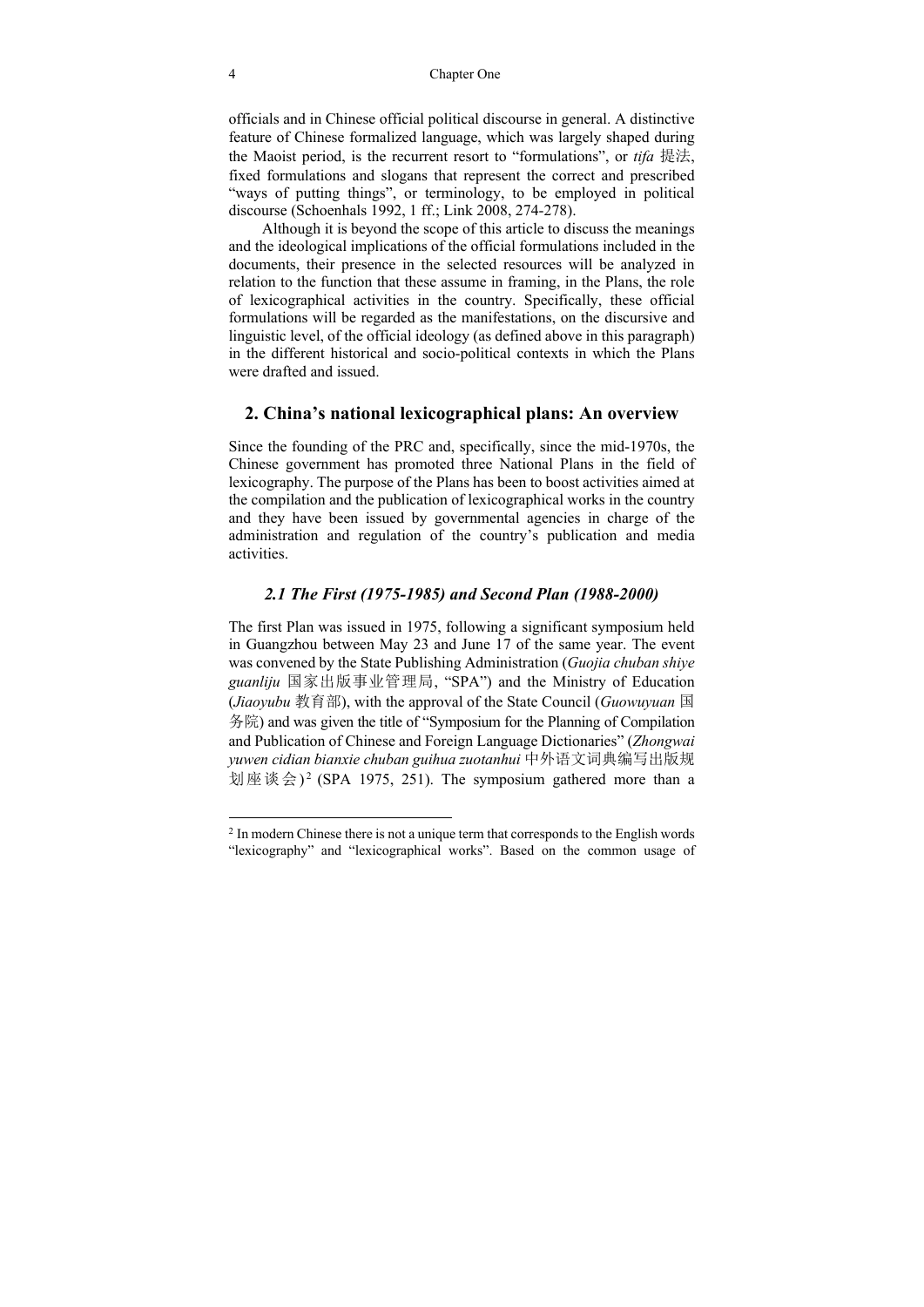officials and in Chinese official political discourse in general. A distinctive feature of Chinese formalized language, which was largely shaped during the Maoist period, is the recurrent resort to "formulations", or *tifa* 提法, fixed formulations and slogans that represent the correct and prescribed "ways of putting things", or terminology, to be employed in political discourse (Schoenhals 1992, 1 ff.; Link 2008, 274-278).

Although it is beyond the scope of this article to discuss the meanings and the ideological implications of the official formulations included in the documents, their presence in the selected resources will be analyzed in relation to the function that these assume in framing, in the Plans, the role of lexicographical activities in the country. Specifically, these official formulations will be regarded as the manifestations, on the discursive and linguistic level, of the official ideology (as defined above in this paragraph) in the different historical and socio-political contexts in which the Plans were drafted and issued.

#### **2. China's national lexicographical plans: An overview**

Since the founding of the PRC and, specifically, since the mid-1970s, the Chinese government has promoted three National Plans in the field of lexicography. The purpose of the Plans has been to boost activities aimed at the compilation and the publication of lexicographical works in the country and they have been issued by governmental agencies in charge of the administration and regulation of the country's publication and media activities.

#### *2.1 The First (1975-1985) and Second Plan (1988-2000)*

The first Plan was issued in 1975, following a significant symposium held in Guangzhou between May 23 and June 17 of the same year. The event was convened by the State Publishing Administration (*Guojia chuban shiye guanliju* 国家出版事业管理局, "SPA") and the Ministry of Education (*Jiaoyubu* 教育部), with the approval of the State Council (*Guowuyuan* 国 务院) and was given the title of "Symposium for the Planning of Compilation and Publication of Chinese and Foreign Language Dictionaries" (*Zhongwai yuwen cidian bianxie chuban guihua zuotanhui* 中外语文词典编写出版规 划座谈会)<sup>2</sup> (SPA 1975, 251). The symposium gathered more than a

<sup>&</sup>lt;sup>2</sup> In modern Chinese there is not a unique term that corresponds to the English words "lexicography" and "lexicographical works". Based on the common usage of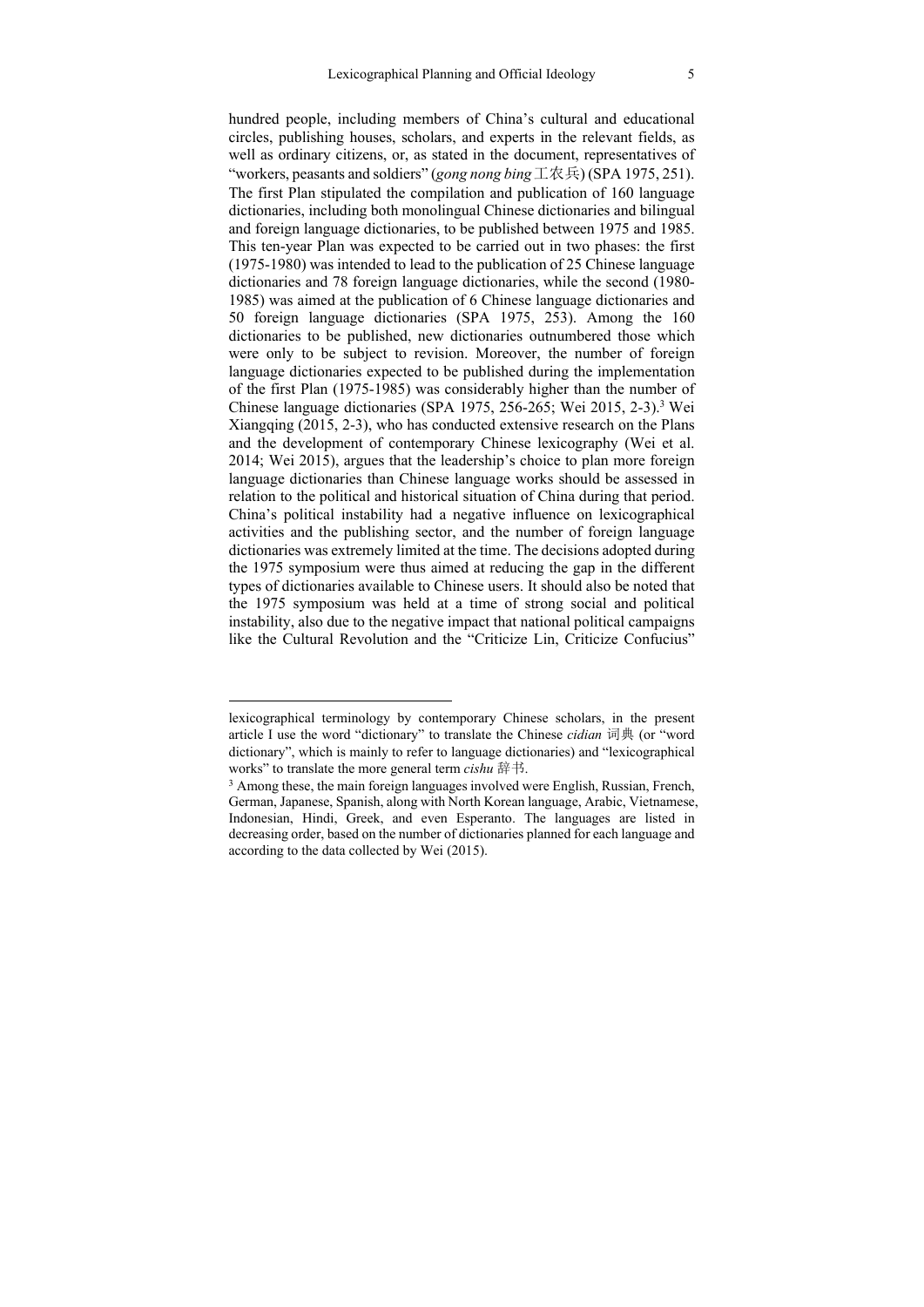hundred people, including members of China's cultural and educational circles, publishing houses, scholars, and experts in the relevant fields, as well as ordinary citizens, or, as stated in the document, representatives of "workers, peasants and soldiers" (*gong nong bing*工农兵) (SPA 1975, 251). The first Plan stipulated the compilation and publication of 160 language dictionaries, including both monolingual Chinese dictionaries and bilingual and foreign language dictionaries, to be published between 1975 and 1985. This ten-year Plan was expected to be carried out in two phases: the first (1975-1980) was intended to lead to the publication of 25 Chinese language dictionaries and 78 foreign language dictionaries, while the second (1980- 1985) was aimed at the publication of 6 Chinese language dictionaries and 50 foreign language dictionaries (SPA 1975, 253). Among the 160 dictionaries to be published, new dictionaries outnumbered those which were only to be subject to revision. Moreover, the number of foreign language dictionaries expected to be published during the implementation of the first Plan (1975-1985) was considerably higher than the number of Chinese language dictionaries (SPA 1975, 256-265; Wei 2015, 2-3).<sup>3</sup> Wei Xiangqing (2015, 2-3), who has conducted extensive research on the Plans and the development of contemporary Chinese lexicography (Wei et al. 2014; Wei 2015), argues that the leadership's choice to plan more foreign language dictionaries than Chinese language works should be assessed in relation to the political and historical situation of China during that period. China's political instability had a negative influence on lexicographical activities and the publishing sector, and the number of foreign language dictionaries was extremely limited at the time. The decisions adopted during the 1975 symposium were thus aimed at reducing the gap in the different types of dictionaries available to Chinese users. It should also be noted that the 1975 symposium was held at a time of strong social and political instability, also due to the negative impact that national political campaigns like the Cultural Revolution and the "Criticize Lin, Criticize Confucius"

lexicographical terminology by contemporary Chinese scholars, in the present article I use the word "dictionary" to translate the Chinese *cidian* 词典 (or "word dictionary", which is mainly to refer to language dictionaries) and "lexicographical works" to translate the more general term *cishu* 辞书.<br><sup>3</sup> Among these, the main foreign languages involved were English, Russian, French,

German, Japanese, Spanish, along with North Korean language, Arabic, Vietnamese, Indonesian, Hindi, Greek, and even Esperanto. The languages are listed in decreasing order, based on the number of dictionaries planned for each language and according to the data collected by Wei (2015).